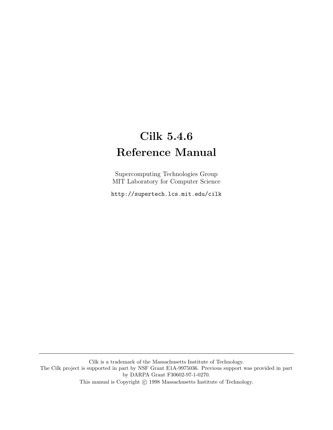# Cilk 5.4.6 Reference Manual

Supercomputing Technologies Group MIT Laboratory for Computer Science

http://supertech.lcs.mit.edu/cilk

Cilk is a trademark of the Massachusetts Institute of Technology. The Cilk project is supported in part by NSF Grant E1A-9975036. Previous support was provided in part by DARPA Grant F30602-97-1-0270. This manual is Copyright  $\odot$  1998 Massachusetts Institute of Technology.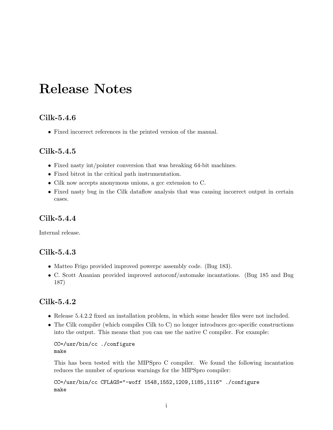# Release Notes

## Cilk-5.4.6

• Fixed incorrect references in the printed version of the manual.

## Cilk-5.4.5

- Fixed nasty int/pointer conversion that was breaking 64-bit machines.
- Fixed bitrot in the critical path instrumentation.
- Cilk now accepts anonymous unions, a gcc extension to C.
- Fixed nasty bug in the Cilk dataflow analysis that was causing incorrect output in certain cases.

## Cilk-5.4.4

Internal release.

## Cilk-5.4.3

- Matteo Frigo provided improved powerpc assembly code. (Bug 183).
- C. Scott Ananian provided improved autoconf/automake incantations. (Bug 185 and Bug 187)

## Cilk-5.4.2

- Release 5.4.2.2 fixed an installation problem, in which some header files were not included.
- The Cilk compiler (which compiles Cilk to C) no longer introduces gcc-specific constructions into the output. This means that you can use the native C compiler. For example:

CC=/usr/bin/cc ./configure make

This has been tested with the MIPSpro C compiler. We found the following incantation reduces the number of spurious warnings for the MIPSpro compiler:

CC=/usr/bin/cc CFLAGS="-woff 1548,1552,1209,1185,1116" ./configure make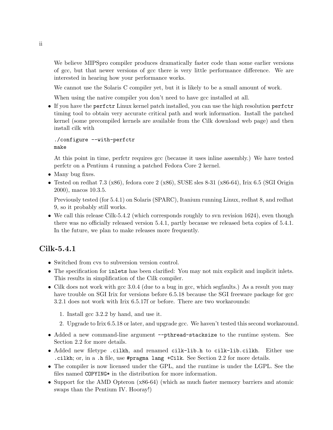We believe MIPSpro compiler produces dramatically faster code than some earlier versions of gcc, but that newer versions of gcc there is very little performance difference. We are interested in hearing how your performance works.

We cannot use the Solaris C compiler yet, but it is likely to be a small amount of work.

When using the native compiler you don't need to have gcc installed at all.

• If you have the perfctr Linux kernel patch installed, you can use the high resolution perfctr timing tool to obtain very accurate critical path and work information. Install the patched kernel (some precompiled kernels are available from the Cilk download web page) and then install cilk with

```
./configure --with-perfctr
make
```
At this point in time, perfctr requires gcc (because it uses inline assembly.) We have tested perfctr on a Pentium 4 running a patched Fedora Core 2 kernel.

- Many bug fixes.
- Tested on redhat 7.3 (x86), fedora core 2 (x86), SUSE sles  $8-31$  (x86-64), Irix 6.5 (SGI Origin 2000), macos 10.3.5.

Previously tested (for 5.4.1) on Solaris (SPARC), Itanium running Linux, redhat 8, and redhat 9, so it probably still works.

• We call this release Cilk-5.4.2 (which corresponds roughly to svn revision 1624), even though there was no officially released version 5.4.1, partly because we released beta copies of 5.4.1. In the future, we plan to make releases more frequently.

## Cilk-5.4.1

- Switched from cvs to subversion version control.
- The specification for inlets has been clarified: You may not mix explicit and implicit inlets. This results in simplification of the Cilk compiler.
- Cilk does not work with gcc 3.0.4 (due to a bug in gcc, which segfaults.) As a result you may have trouble on SGI Irix for versions before 6.5.18 because the SGI freeware package for gcc 3.2.1 does not work with Irix 6.5.17f or before. There are two workarounds:
	- 1. Install gcc 3.2.2 by hand, and use it.
	- 2. Upgrade to Irix 6.5.18 or later, and upgrade gcc. We haven't tested this second workaround.
- Added a new command-line argument --pthread-stacksize to the runtime system. See Section 2.2 for more details.
- Added new filetype .cilkh, and renamed cilk-lib.h to cilk-lib.cilkh. Either use .cilkh; or, in a .h file, use #pragma lang +Cilk. See Section 2.2 for more details.
- The compiler is now licensed under the GPL, and the runtime is under the LGPL. See the files named COPYING\* in the distribution for more information.
- Support for the AMD Opteron (x86-64) (which as much faster memory barriers and atomic swaps than the Pentium IV. Hooray!)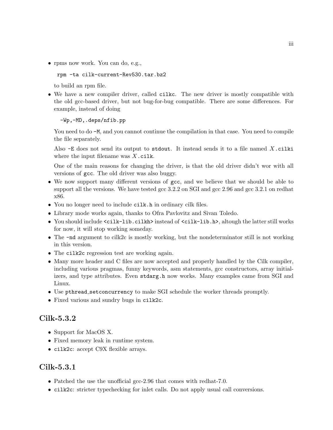• rpms now work. You can do, e.g.,

rpm -ta cilk-current-Rev530.tar.bz2

to build an rpm file.

• We have a new compiler driver, called cilkc. The new driver is mostly compatible with the old gcc-based driver, but not bug-for-bug compatible. There are some differences. For example, instead of doing

-Wp,-MD,.deps/nfib.pp

You need to do  $-M$ , and you cannot continue the compilation in that case. You need to compile the file separately.

Also  $-E$  does not send its output to stdout. It instead sends it to a file named X.cilki where the input filename was  $X$ .cilk.

One of the main reasons for changing the driver, is that the old driver didn't wor with all versions of gcc. The old driver was also buggy.

- We now support many different versions of gcc, and we believe that we should be able to support all the versions. We have tested gcc 3.2.2 on SGI and gcc 2.96 and gcc 3.2.1 on redhat x86.
- You no longer need to include cilk.h in ordinary cilk files.
- Library mode works again, thanks to Ofra Pavlovitz and Sivan Toledo.
- You should include <cilk-lib.cilkh> instead of <cilk-lib.h>, altough the latter still works for now, it will stop working someday.
- The -nd argument to cilk2c is mostly working, but the nondeterminator still is not working in this version.
- The cilk2c regression test are working again.
- Many more header and C files are now accepted and properly handled by the Cilk compiler, including various pragmas, funny keywords, asm statements, gcc constructors, array initializers, and type attributes. Even stdarg.h now works. Many examples came from SGI and Linux.
- Use pthread setconcurrency to make SGI schedule the worker threads promptly.
- Fixed various and sundry bugs in cilk2c.

## Cilk-5.3.2

- Support for MacOS X.
- Fixed memory leak in runtime system.
- cilk2c: accept C9X flexible arrays.

## Cilk-5.3.1

- Patched the use the unofficial gcc-2.96 that comes with redhat-7.0.
- cilk2c: stricter typechecking for inlet calls. Do not apply usual call conversions.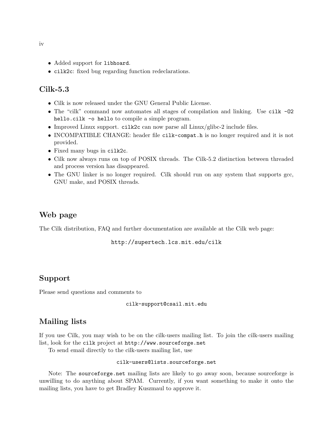- Added support for libhoard.
- cilk2c: fixed bug regarding function redeclarations.

## Cilk-5.3

- Cilk is now released under the GNU General Public License.
- The "cilk" command now automates all stages of compilation and linking. Use cilk -O2 hello.cilk -o hello to compile a simple program.
- Improved Linux support. cilk2c can now parse all Linux/glibc-2 include files.
- INCOMPATIBLE CHANGE: header file cilk-compat.h is no longer required and it is not provided.
- Fixed many bugs in cilk2c.
- Cilk now always runs on top of POSIX threads. The Cilk-5.2 distinction between threaded and process version has disappeared.
- The GNU linker is no longer required. Cilk should run on any system that supports gcc, GNU make, and POSIX threads.

## Web page

The Cilk distribution, FAQ and further documentation are available at the Cilk web page:

http://supertech.lcs.mit.edu/cilk

## Support

Please send questions and comments to

cilk-support@csail.mit.edu

## Mailing lists

If you use Cilk, you may wish to be on the cilk-users mailing list. To join the cilk-users mailing list, look for the cilk project at http://www.sourceforge.net

To send email directly to the cilk-users mailing list, use

#### cilk-users@lists.sourceforge.net

Note: The sourceforge.net mailing lists are likely to go away soon, because sourceforge is unwilling to do anything about SPAM. Currently, if you want something to make it onto the mailing lists, you have to get Bradley Kuszmaul to approve it.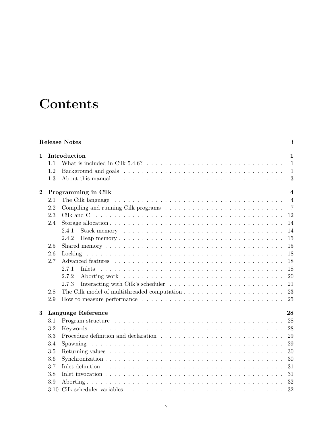# **Contents**

|                   |                          | <b>Release Notes</b>                                                                                                                                                                                                                    | $\mathbf{i}$   |  |  |  |  |  |  |  |
|-------------------|--------------------------|-----------------------------------------------------------------------------------------------------------------------------------------------------------------------------------------------------------------------------------------|----------------|--|--|--|--|--|--|--|
| Introduction<br>1 |                          |                                                                                                                                                                                                                                         |                |  |  |  |  |  |  |  |
|                   | 1.1                      |                                                                                                                                                                                                                                         | $\mathbf{1}$   |  |  |  |  |  |  |  |
|                   | 1.2                      |                                                                                                                                                                                                                                         | $\mathbf{1}$   |  |  |  |  |  |  |  |
|                   | 1.3                      |                                                                                                                                                                                                                                         | 3              |  |  |  |  |  |  |  |
| $\bf{2}$          |                          | Programming in Cilk<br>$\overline{\mathbf{4}}$                                                                                                                                                                                          |                |  |  |  |  |  |  |  |
|                   | 2.1                      |                                                                                                                                                                                                                                         | $\overline{4}$ |  |  |  |  |  |  |  |
|                   | 2.2                      |                                                                                                                                                                                                                                         | $\overline{7}$ |  |  |  |  |  |  |  |
|                   | 2.3                      |                                                                                                                                                                                                                                         | 12             |  |  |  |  |  |  |  |
|                   | 2.4                      |                                                                                                                                                                                                                                         | 14             |  |  |  |  |  |  |  |
|                   |                          | Stack memory experience in the series of the series of the series of the series of the series of the series of the series of the series of the series of the series of the series of the series of the series of the series of<br>2.4.1 | 14             |  |  |  |  |  |  |  |
|                   |                          | 2.4.2                                                                                                                                                                                                                                   | 15             |  |  |  |  |  |  |  |
|                   | 2.5                      |                                                                                                                                                                                                                                         | 15             |  |  |  |  |  |  |  |
|                   | 2.6                      |                                                                                                                                                                                                                                         | 18             |  |  |  |  |  |  |  |
|                   | 2.7                      |                                                                                                                                                                                                                                         | 18             |  |  |  |  |  |  |  |
|                   |                          | 2.7.1<br><b>Inlets</b>                                                                                                                                                                                                                  | 18             |  |  |  |  |  |  |  |
|                   |                          | 2.7.2                                                                                                                                                                                                                                   | 20             |  |  |  |  |  |  |  |
|                   |                          | 2.7.3                                                                                                                                                                                                                                   | 21             |  |  |  |  |  |  |  |
|                   | 2.8                      |                                                                                                                                                                                                                                         | 23             |  |  |  |  |  |  |  |
|                   | 2.9                      |                                                                                                                                                                                                                                         | 25             |  |  |  |  |  |  |  |
| 3                 | Language Reference<br>28 |                                                                                                                                                                                                                                         |                |  |  |  |  |  |  |  |
|                   | 3.1                      |                                                                                                                                                                                                                                         | 28             |  |  |  |  |  |  |  |
|                   | 3.2                      |                                                                                                                                                                                                                                         | 28             |  |  |  |  |  |  |  |
|                   | 3.3                      |                                                                                                                                                                                                                                         | 29             |  |  |  |  |  |  |  |
|                   | 3.4                      |                                                                                                                                                                                                                                         | 29             |  |  |  |  |  |  |  |
|                   | 3.5                      |                                                                                                                                                                                                                                         | 30             |  |  |  |  |  |  |  |
|                   | 3.6                      |                                                                                                                                                                                                                                         | 30             |  |  |  |  |  |  |  |
|                   | 3.7                      |                                                                                                                                                                                                                                         | 31             |  |  |  |  |  |  |  |
|                   | 3.8                      | Inlet invocation $\ldots \ldots \ldots \ldots \ldots \ldots \ldots \ldots \ldots \ldots \ldots \ldots \ldots$                                                                                                                           | 31             |  |  |  |  |  |  |  |
|                   | 3.9                      |                                                                                                                                                                                                                                         | 32             |  |  |  |  |  |  |  |
|                   | 3.10                     |                                                                                                                                                                                                                                         | 32             |  |  |  |  |  |  |  |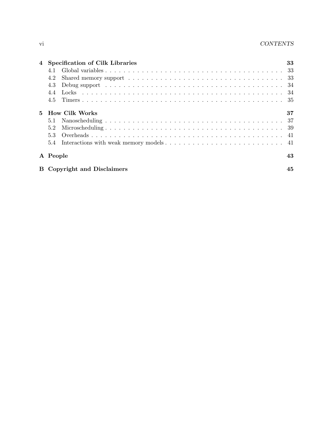|             | 4 Specification of Cilk Libraries                                                                                                                                                                                                     | 33 |  |  |  |  |  |  |
|-------------|---------------------------------------------------------------------------------------------------------------------------------------------------------------------------------------------------------------------------------------|----|--|--|--|--|--|--|
|             | 4.1                                                                                                                                                                                                                                   |    |  |  |  |  |  |  |
|             | 4.2                                                                                                                                                                                                                                   |    |  |  |  |  |  |  |
|             | Debug support recovered in the set of the contract of the contract of the contract of the contract of the contract of the contract of the contract of the contract of the contract of the contract of the contract of the cont<br>4.3 |    |  |  |  |  |  |  |
|             | 4.4                                                                                                                                                                                                                                   |    |  |  |  |  |  |  |
|             | 4.5                                                                                                                                                                                                                                   |    |  |  |  |  |  |  |
| $5^{\circ}$ | <b>How Cilk Works</b>                                                                                                                                                                                                                 |    |  |  |  |  |  |  |
|             | 5.1                                                                                                                                                                                                                                   |    |  |  |  |  |  |  |
|             | 5.2                                                                                                                                                                                                                                   |    |  |  |  |  |  |  |
|             | 5.3                                                                                                                                                                                                                                   |    |  |  |  |  |  |  |
|             |                                                                                                                                                                                                                                       |    |  |  |  |  |  |  |
|             | A People                                                                                                                                                                                                                              |    |  |  |  |  |  |  |
|             | <b>B</b> Copyright and Disclaimers                                                                                                                                                                                                    |    |  |  |  |  |  |  |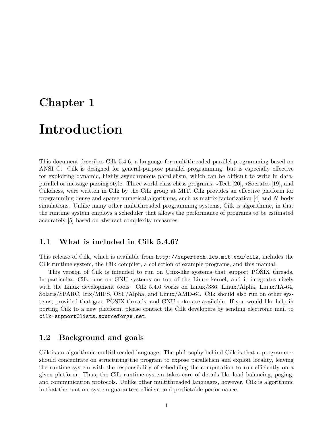## Chapter 1

## Introduction

This document describes Cilk 5.4.6, a language for multithreaded parallel programming based on ANSI C. Cilk is designed for general-purpose parallel programming, but is especially effective for exploiting dynamic, highly asynchronous parallelism, which can be difficult to write in dataparallel or message-passing style. Three world-class chess programs,  $\star$ Tech [20],  $\star$ Socrates [19], and Cilkchess, were written in Cilk by the Cilk group at MIT. Cilk provides an effective platform for programming dense and sparse numerical algorithms, such as matrix factorization [4] and N-body simulations. Unlike many other multithreaded programming systems, Cilk is algorithmic, in that the runtime system employs a scheduler that allows the performance of programs to be estimated accurately [5] based on abstract complexity measures.

## 1.1 What is included in Cilk 5.4.6?

This release of Cilk, which is available from http://supertech.lcs.mit.edu/cilk, includes the Cilk runtime system, the Cilk compiler, a collection of example programs, and this manual.

This version of Cilk is intended to run on Unix-like systems that support POSIX threads. In particular, Cilk runs on GNU systems on top of the Linux kernel, and it integrates nicely with the Linux development tools. Cilk 5.4.6 works on Linux/386, Linux/Alpha, Linux/IA-64, Solaris/SPARC, Irix/MIPS, OSF/Alpha, and Linux/AMD-64. Cilk should also run on other systems, provided that gcc, POSIX threads, and GNU make are available. If you would like help in porting Cilk to a new platform, please contact the Cilk developers by sending electronic mail to cilk-support@lists.sourceforge.net.

## 1.2 Background and goals

Cilk is an algorithmic multithreaded language. The philosophy behind Cilk is that a programmer should concentrate on structuring the program to expose parallelism and exploit locality, leaving the runtime system with the responsibility of scheduling the computation to run efficiently on a given platform. Thus, the Cilk runtime system takes care of details like load balancing, paging, and communication protocols. Unlike other multithreaded languages, however, Cilk is algorithmic in that the runtime system guarantees efficient and predictable performance.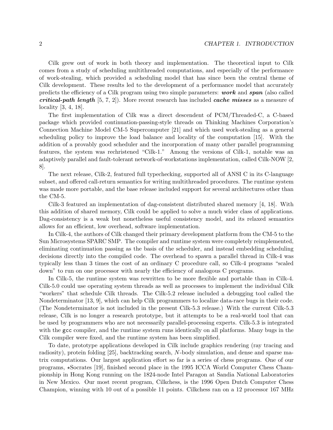Cilk grew out of work in both theory and implementation. The theoretical input to Cilk comes from a study of scheduling multithreaded computations, and especially of the performance of work-stealing, which provided a scheduling model that has since been the central theme of Cilk development. These results led to the development of a performance model that accurately predicts the efficiency of a Cilk program using two simple parameters:  $work$  and  $span$  (also called **critical-path length** [5, 7, 2]). More recent research has included **cache misses** as a measure of locality [3, 4, 18].

The first implementation of Cilk was a direct descendent of PCM/Threaded-C, a C-based package which provided continuation-passing-style threads on Thinking Machines Corporation's Connection Machine Model CM-5 Supercomputer [21] and which used work-stealing as a general scheduling policy to improve the load balance and locality of the computation [15]. With the addition of a provably good scheduler and the incorporation of many other parallel programming features, the system was rechristened "Cilk-1." Among the versions of Cilk-1, notable was an adaptively parallel and fault-tolerant network-of-workstations implementation, called Cilk-NOW [2, 8].

The next release, Cilk-2, featured full typechecking, supported all of ANSI C in its C-language subset, and offered call-return semantics for writing multithreaded procedures. The runtime system was made more portable, and the base release included support for several architectures other than the CM-5.

Cilk-3 featured an implementation of dag-consistent distributed shared memory [4, 18]. With this addition of shared memory, Cilk could be applied to solve a much wider class of applications. Dag-consistency is a weak but nonetheless useful consistency model, and its relaxed semantics allows for an efficient, low overhead, software implementation.

In Cilk-4, the authors of Cilk changed their primary development platform from the CM-5 to the Sun Microsystems SPARC SMP. The compiler and runtime system were completely reimplemented, eliminating continuation passing as the basis of the scheduler, and instead embedding scheduling decisions directly into the compiled code. The overhead to spawn a parallel thread in Cilk-4 was typically less than 3 times the cost of an ordinary C procedure call, so Cilk-4 programs "scaled down" to run on one processor with nearly the efficiency of analogous C programs.

In Cilk-5, the runtime system was rewritten to be more flexible and portable than in Cilk-4. Cilk-5.0 could use operating system threads as well as processes to implement the individual Cilk "workers" that schedule Cilk threads. The Cilk-5.2 release included a debugging tool called the Nondeterminator [13, 9], which can help Cilk programmers to localize data-race bugs in their code. (The Nondeterminator is not included in the present Cilk-5.3 release.) With the current Cilk-5.3 release, Cilk is no longer a research prototype, but it attempts to be a real-world tool that can be used by programmers who are not necessarily parallel-processing experts. Cilk-5.3 is integrated with the gcc compiler, and the runtime system runs identically on all platforms. Many bugs in the Cilk compiler were fixed, and the runtime system has been simplified.

To date, prototype applications developed in Cilk include graphics rendering (ray tracing and radiosity), protein folding [25], backtracking search, N-body simulation, and dense and sparse matrix computations. Our largest application effort so far is a series of chess programs. One of our programs,  $\star$ Socrates [19], finished second place in the 1995 ICCA World Computer Chess Championship in Hong Kong running on the 1824-node Intel Paragon at Sandia National Laboratories in New Mexico. Our most recent program, Cilkchess, is the 1996 Open Dutch Computer Chess Champion, winning with 10 out of a possible 11 points. Cilkchess ran on a 12 processor 167 MHz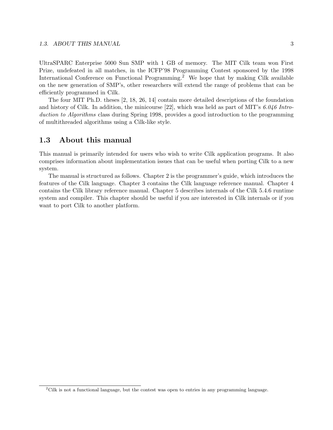UltraSPARC Enterprise 5000 Sun SMP with 1 GB of memory. The MIT Cilk team won First Prize, undefeated in all matches, in the ICFP'98 Programming Contest sponsored by the 1998 International Conference on Functional Programming.<sup>2</sup> We hope that by making Cilk available on the new generation of SMP's, other researchers will extend the range of problems that can be efficiently programmed in Cilk.

The four MIT Ph.D. theses [2, 18, 26, 14] contain more detailed descriptions of the foundation and history of Cilk. In addition, the minicourse [22], which was held as part of MIT's  $6.046$  Introduction to Algorithms class during Spring 1998, provides a good introduction to the programming of multithreaded algorithms using a Cilk-like style.

## 1.3 About this manual

This manual is primarily intended for users who wish to write Cilk application programs. It also comprises information about implementation issues that can be useful when porting Cilk to a new system.

The manual is structured as follows. Chapter 2 is the programmer's guide, which introduces the features of the Cilk language. Chapter 3 contains the Cilk language reference manual. Chapter 4 contains the Cilk library reference manual. Chapter 5 describes internals of the Cilk 5.4.6 runtime system and compiler. This chapter should be useful if you are interested in Cilk internals or if you want to port Cilk to another platform.

 $2$ Cilk is not a functional language, but the contest was open to entries in any programming language.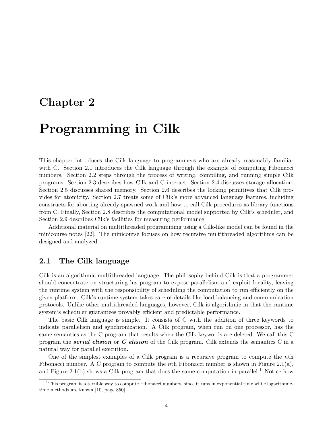## Chapter 2

# Programming in Cilk

This chapter introduces the Cilk language to programmers who are already reasonably familiar with C. Section 2.1 introduces the Cilk language through the example of computing Fibonacci numbers. Section 2.2 steps through the process of writing, compiling, and running simple Cilk programs. Section 2.3 describes how Cilk and C interact. Section 2.4 discusses storage allocation. Section 2.5 discusses shared memory. Section 2.6 describes the locking primitives that Cilk provides for atomicity. Section 2.7 treats some of Cilk's more advanced language features, including constructs for aborting already-spawned work and how to call Cilk procedures as library functions from C. Finally, Section 2.8 describes the computational model supported by Cilk's scheduler, and Section 2.9 describes Cilk's facilities for measuring performance.

Additional material on multithreaded programming using a Cilk-like model can be found in the minicourse notes [22]. The minicourse focuses on how recursive multithreaded algorithms can be designed and analyzed.

## 2.1 The Cilk language

Cilk is an algorithmic multithreaded language. The philosophy behind Cilk is that a programmer should concentrate on structuring his program to expose parallelism and exploit locality, leaving the runtime system with the responsibility of scheduling the computation to run efficiently on the given platform. Cilk's runtime system takes care of details like load balancing and communication protocols. Unlike other multithreaded languages, however, Cilk is algorithmic in that the runtime system's scheduler guarantees provably efficient and predictable performance.

The basic Cilk language is simple. It consists of C with the addition of three keywords to indicate parallelism and synchronization. A Cilk program, when run on one processor, has the same semantics as the C program that results when the Cilk keywords are deleted. We call this C program the **serial elision** or  $C$  elision of the Cilk program. Cilk extends the semantics C in a natural way for parallel execution.

One of the simplest examples of a Cilk program is a recursive program to compute the nth Fibonacci number. A C program to compute the nth Fibonacci number is shown in Figure 2.1(a), and Figure 2.1(b) shows a Cilk program that does the same computation in parallel.<sup>1</sup> Notice how

 $1$ This program is a terrible way to compute Fibonacci numbers, since it runs in exponential time while logarithmictime methods are known [10, page 850].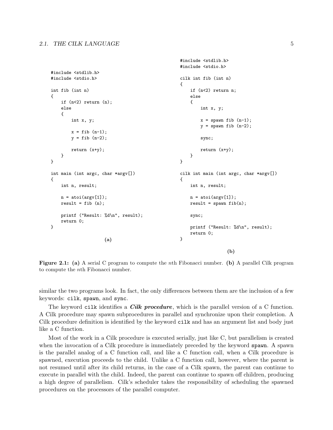```
#include <stdlib.h>
#include <stdio.h>
int fib (int n)
{
    if (n<2) return (n);
    else
    {
        int x, y;
        x = fib (n-1);y = fib (n-2);return (x+y);
    }
}
int main (int argc, char *argv[])
{
    int n, result;
    n = \text{atoi}(\text{argv}[1]);result = fib (n);printf ("Result: %d\n", result);
    return 0;
}
                       (a)
                                                       #include <stdlib.h>
                                                       #include <stdio.h>
                                                       cilk int fib (int n)
                                                       {
                                                           if (n<2) return n;
                                                           else
                                                           {
                                                                int x, y;
                                                               x = spawn fib (n-1);
                                                                y = spawn fib (n-2);
                                                                sync;
                                                               return (x+y);
                                                           }
                                                       }
                                                       cilk int main (int argc, char *argv[])
                                                       {
                                                           int n, result;
                                                           n = \text{atoi}(\text{argv}[1]);result = spawn fib(n);sync;
                                                           printf ("Result: %d\n", result);
                                                           return 0;
                                                       }
                                                                           (b)
```
Figure 2.1: (a) A serial C program to compute the nth Fibonacci number. (b) A parallel Cilk program to compute the nth Fibonacci number.

similar the two programs look. In fact, the only differences between them are the inclusion of a few keywords: cilk, spawn, and sync.

The keyword cilk identifies a *Cilk procedure*, which is the parallel version of a C function. A Cilk procedure may spawn subprocedures in parallel and synchronize upon their completion. A Cilk procedure definition is identified by the keyword cilk and has an argument list and body just like a C function.

Most of the work in a Cilk procedure is executed serially, just like C, but parallelism is created when the invocation of a Cilk procedure is immediately preceded by the keyword spawn. A spawn is the parallel analog of a C function call, and like a C function call, when a Cilk procedure is spawned, execution proceeds to the child. Unlike a C function call, however, where the parent is not resumed until after its child returns, in the case of a Cilk spawn, the parent can continue to execute in parallel with the child. Indeed, the parent can continue to spawn off children, producing a high degree of parallelism. Cilk's scheduler takes the responsibility of scheduling the spawned procedures on the processors of the parallel computer.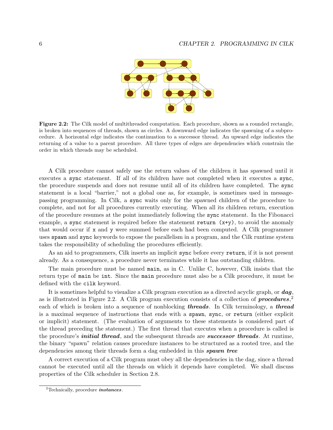

Figure 2.2: The Cilk model of multithreaded computation. Each procedure, shown as a rounded rectangle, is broken into sequences of threads, shown as circles. A downward edge indicates the spawning of a subprocedure. A horizontal edge indicates the continuation to a successor thread. An upward edge indicates the returning of a value to a parent procedure. All three types of edges are dependencies which constrain the order in which threads may be scheduled.

A Cilk procedure cannot safely use the return values of the children it has spawned until it executes a sync statement. If all of its children have not completed when it executes a sync, the procedure suspends and does not resume until all of its children have completed. The sync statement is a local "barrier," not a global one as, for example, is sometimes used in messagepassing programming. In Cilk, a sync waits only for the spawned children of the procedure to complete, and not for all procedures currently executing. When all its children return, execution of the procedure resumes at the point immediately following the sync statement. In the Fibonacci example, a sync statement is required before the statement return (x+y), to avoid the anomaly that would occur if x and y were summed before each had been computed. A Cilk programmer uses spawn and sync keywords to expose the parallelism in a program, and the Cilk runtime system takes the responsibility of scheduling the procedures efficiently.

As an aid to programmers, Cilk inserts an implicit sync before every return, if it is not present already. As a consequence, a procedure never terminates while it has outstanding children.

The main procedure must be named main, as in C. Unlike C, however, Cilk insists that the return type of main be int. Since the main procedure must also be a Cilk procedure, it must be defined with the cilk keyword.

It is sometimes helpful to visualize a Cilk program execution as a directed acyclic graph, or dag, as is illustrated in Figure 2.2. A Cilk program execution consists of a collection of  $procedures$ ,<sup>2</sup> each of which is broken into a sequence of nonblocking **threads**. In Cilk terminology, a **thread** is a maximal sequence of instructions that ends with a spawn, sync, or return (either explicit or implicit) statement. (The evaluation of arguments to these statements is considered part of the thread preceding the statement.) The first thread that executes when a procedure is called is the procedure's *initial thread*, and the subsequent threads are *successor threads*. At runtime, the binary "spawn" relation causes procedure instances to be structured as a rooted tree, and the dependencies among their threads form a dag embedded in this **spawn tree** 

A correct execution of a Cilk program must obey all the dependencies in the dag, since a thread cannot be executed until all the threads on which it depends have completed. We shall discuss properties of the Cilk scheduler in Section 2.8.

 ${}^{2}$ Technically, procedure *instances*.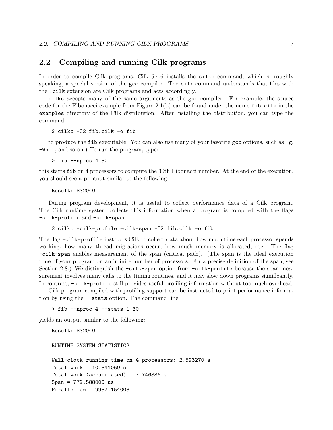## 2.2 Compiling and running Cilk programs

In order to compile Cilk programs, Cilk 5.4.6 installs the cilkc command, which is, roughly speaking, a special version of the gcc compiler. The cilk command understands that files with the .cilk extension are Cilk programs and acts accordingly.

cilkc accepts many of the same arguments as the gcc compiler. For example, the source code for the Fibonacci example from Figure 2.1(b) can be found under the name  $\texttt{fib.cilk}$  in the examples directory of the Cilk distribution. After installing the distribution, you can type the command

\$ cilkc -O2 fib.cilk -o fib

to produce the fib executable. You can also use many of your favorite gcc options, such as  $-g$ , -Wall, and so on.) To run the program, type:

> fib --nproc 4 30

this starts fib on 4 processors to compute the 30th Fibonacci number. At the end of the execution, you should see a printout similar to the following:

Result: 832040

During program development, it is useful to collect performance data of a Cilk program. The Cilk runtime system collects this information when a program is compiled with the flags -cilk-profile and -cilk-span.

#### \$ cilkc -cilk-profile -cilk-span -O2 fib.cilk -o fib

The flag -cilk-profile instructs Cilk to collect data about how much time each processor spends working, how many thread migrations occur, how much memory is allocated, etc. The flag -cilk-span enables measurement of the span (critical path). (The span is the ideal execution time of your program on an infinite number of processors. For a precise definition of the span, see Section 2.8.) We distinguish the  $-cilk$ -span option from  $-cilk$ -profile because the span measurement involves many calls to the timing routines, and it may slow down programs significantly. In contrast, -cilk-profile still provides useful profiling information without too much overhead.

Cilk program compiled with profiling support can be instructed to print performance information by using the --stats option. The command line

 $>$  fib  $-$ -nproc 4  $-$ -stats 1 30

yields an output similar to the following:

Result: 832040 RUNTIME SYSTEM STATISTICS: Wall-clock running time on 4 processors: 2.593270 s Total work = 10.341069 s Total work (accumulated) = 7.746886 s Span = 779.588000 us Parallelism = 9937.154003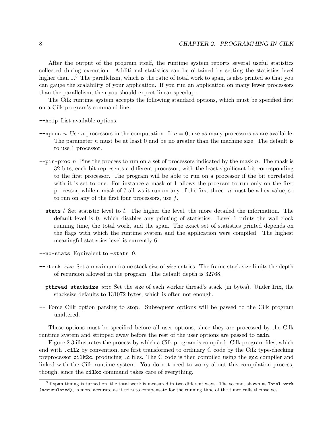After the output of the program itself, the runtime system reports several useful statistics collected during execution. Additional statistics can be obtained by setting the statistics level higher than  $1<sup>3</sup>$ . The parallelism, which is the ratio of total work to span, is also printed so that you can gauge the scalability of your application. If you run an application on many fewer processors than the parallelism, then you should expect linear speedup.

The Cilk runtime system accepts the following standard options, which must be specified first on a Cilk program's command line:

--help List available options.

- --nproc n Use n processors in the computation. If  $n = 0$ , use as many processors as are available. The parameter  $n$  must be at least 0 and be no greater than the machine size. The default is to use 1 processor.
- $-\text{pin-proc } n$  Pins the process to run on a set of processors indicated by the mask n. The mask is 32 bits; each bit represents a different processor, with the least significant bit corresponding to the first processor. The program will be able to run on a processor if the bit correlated with it is set to one. For instance a mask of 1 allows the program to run only on the first processor, while a mask of  $7$  allows it run on any of the first three.  $n$  must be a hex value, so to run on any of the first four processors, use  $f$ .
- $-$ stats l Set statistic level to l. The higher the level, the more detailed the information. The default level is 0, which disables any printing of statistics. Level 1 prints the wall-clock running time, the total work, and the span. The exact set of statistics printed depends on the flags with which the runtime system and the application were compiled. The highest meaningful statistics level is currently 6.

--no-stats Equivalent to -stats 0.

- --stack size Set a maximum frame stack size of size entries. The frame stack size limits the depth of recursion allowed in the program. The default depth is 32768.
- --pthread-stacksize size Set the size of each worker thread's stack (in bytes). Under Irix, the stacksize defaults to 131072 bytes, which is often not enough.
- -- Force Cilk option parsing to stop. Subsequent options will be passed to the Cilk program unaltered.

These options must be specified before all user options, since they are processed by the Cilk runtime system and stripped away before the rest of the user options are passed to main.

Figure 2.3 illustrates the process by which a Cilk program is compiled. Cilk program files, which end with .cilk by convention, are first transformed to ordinary C code by the Cilk type-checking preprocessor cilk2c, producing .c files. The C code is then compiled using the gcc compiler and linked with the Cilk runtime system. You do not need to worry about this compilation process, though, since the cilkc command takes care of everything.

 ${}^{3}$ If span timing is turned on, the total work is measured in two different ways. The second, shown as Total work (accumulated), is more accurate as it tries to compensate for the running time of the timer calls themselves.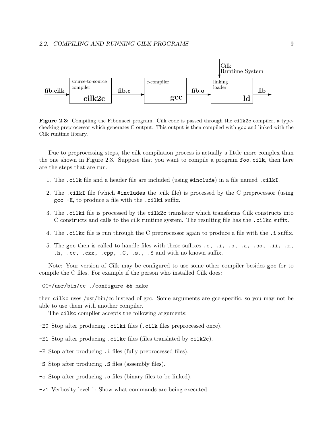

Figure 2.3: Compiling the Fibonacci program. Cilk code is passed through the cilk2c compiler, a typechecking preprocessor which generates C output. This output is then compiled with gcc and linked with the Cilk runtime library.

Due to preprocessing steps, the cilk compilation process is actually a little more complex than the one shown in Figure 2.3. Suppose that you want to compile a program foo.cilk, then here are the steps that are run.

- 1. The .cilk file and a header file are included (using #include) in a file named .cilkI.
- 2. The .cilkI file (which #includes the .cilk file) is processed by the C preprocessor (using gcc -E, to produce a file with the .cilki suffix.
- 3. The .cilki file is processed by the cilk2c translator which transforms Cilk constructs into C constructs and calls to the cilk runtime system. The resulting file has the .cilkc suffix.
- 4. The .cilkc file is run through the C preprocessor again to produce a file with the .i suffix.
- 5. The gcc then is called to handle files with these suffixes .c, .i, .o, .a, .so, .ii, .m, .h, .cc, .cxx, .cpp, .C, .s., .S and with no known suffix.

Note: Your version of Cilk may be configured to use some other compiler besides gcc for to compile the C files. For example if the person who installed Cilk does:

CC=/usr/bin/cc ./configure && make

then cilkc uses /usr/bin/cc instead of gcc. Some arguments are gcc-specific, so you may not be able to use them with another compiler.

The cilkc compiler accepts the following arguments:

- -E0 Stop after producing .cilki files (.cilk files preprocessed once).
- -E1 Stop after producing .cilkc files (files translated by cilk2c).
- -E Stop after producing .i files (fully preprocessed files).
- -S Stop after producing .S files (assembly files).
- -c Stop after producing .o files (binary files to be linked).
- -v1 Verbosity level 1: Show what commands are being executed.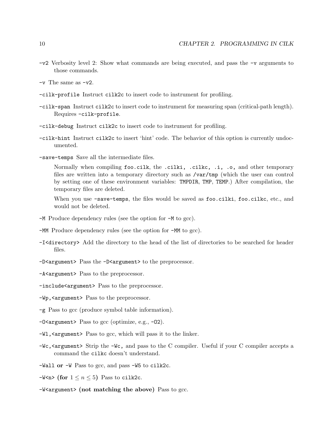- -v2 Verbosity level 2: Show what commands are being executed, and pass the -v arguments to those commands.
- $-v$  The same as  $-v2$ .
- -cilk-profile Instruct cilk2c to insert code to instrument for profiling.
- -cilk-span Instruct cilk2c to insert code to instrument for measuring span (critical-path length). Requires -cilk-profile.
- -cilk-debug Instruct cilk2c to insert code to instrument for profiling.
- -cilk-hint Instruct cilk2c to insert 'hint' code. The behavior of this option is currently undocumented.
- -save-temps Save all the intermediate files.

Normally when compiling foo.cilk, the .cilki, .cilkc, .i, .o, and other temporary files are written into a temporary directory such as  $\sqrt{var/tmp}$  (which the user can control by setting one of these environment variables: TMPDIR, TMP, TEMP.) After compilation, the temporary files are deleted.

When you use -save-temps, the files would be saved as foo.cilki, foo.cilkc, etc., and would not be deleted.

- -M Produce dependency rules (see the option for -M to gcc).
- -MM Produce dependency rules (see the option for -MM to gcc).
- -I<directory> Add the directory to the head of the list of directories to be searched for header files.
- -D<argument> Pass the -D<argument> to the preprocessor.
- -A<argument> Pass to the preprocessor.
- -include<argument> Pass to the preprocessor.
- -Wp,<argument> Pass to the preprocessor.
- -g Pass to gcc (produce symbol table information).
- $-0$ <argument> Pass to gcc (optimize, e.g.,  $-02$ ).
- -Wl,<argument> Pass to gcc, which will pass it to the linker.
- -Wc,<argument> Strip the -Wc, and pass to the C compiler. Useful if your C compiler accepts a command the cilkc doesn't understand.
- -Wall or -W Pass to gcc, and pass -W5 to cilk2c.
- $-$ W<n> (for  $1 \le n \le 5$ ) Pass to cilk2c.
- -W<argument> (not matching the above) Pass to gcc.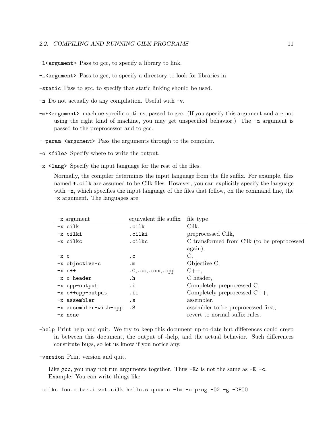#### 2.2. COMPILING AND RUNNING CILK PROGRAMS 11

-l<argument> Pass to gcc, to specify a library to link.

- -L<argument> Pass to gcc, to specify a directory to look for libraries in.
- -static Pass to gcc, to specify that static linking should be used.
- -n Do not actually do any compilation. Useful with -v.
- -m\*<argument> machine-specific options, passed to gcc. (If you specify this argument and are not using the right kind of machine, you may get unspecified behavior.) The -m argument is passed to the preprocessor and to gcc.
- --param <argument> Pass the arguments through to the compiler.
- -o <file> Specify where to write the output.
- -x <lang> Specify the input language for the rest of the files.

Normally, the compiler determines the input language from the file suffix. For example, files named \*.cilk are assumed to be Cilk files. However, you can explicitly specify the language with  $-x$ , which specifies the input language of the files that follow, on the command line, the -x argument. The languages are:

| $-x$ argument         | equivalent file suffix | file type                                   |
|-----------------------|------------------------|---------------------------------------------|
| $-x$ cilk             | .cilk                  | Cilk,                                       |
| -x cilki              | .cilki                 | preprocessed Cilk,                          |
| -x cilkc              | .cilkc                 | C transformed from Cilk (to be preprocessed |
|                       |                        | again),                                     |
| $-x$ c                | . C                    | С,                                          |
| -x objective-c        | $\mathbf{m}$           | Objective C,                                |
| $-x$ $c++$            | .C., cc., cxx., cpp    | $C_{++}$                                    |
| $-x$ c-header         | $\cdot$ h              | C header,                                   |
| -x cpp-output         | .i                     | Completely preprocessed C,                  |
| -x c++cpp-output      | .ii                    | Completely preprocessed $C_{++}$ ,          |
| $-x$ assembler        | $\cdot$ S              | assembler,                                  |
| -x assembler-with-cpp | . S                    | assembler to be preprocessed first,         |
| -x none               |                        | revert to normal suffix rules.              |

-help Print help and quit. We try to keep this document up-to-date but differences could creep in between this document, the output of -help, and the actual behavior. Such differences constitute bugs, so let us know if you notice any.

-version Print version and quit.

Like gcc, you may not run arguments together. Thus  $-Ec$  is not the same as  $-E-c$ . Example: You can write things like

cilkc foo.c bar.i zot.cilk hello.s quux.o -lm -o prog -O2 -g -DFOO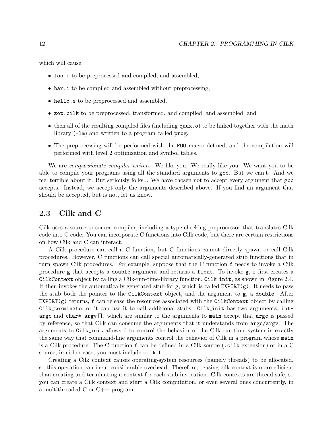which will cause

- foo.c to be preprocessed and compiled, and assembled,
- bar.i to be compiled and assembled without preprocessing,
- hello.s to be preprocessed and assembled,
- zot.cilk to be preprocessed, transformed, and compiled, and assembled, and
- then all of the resulting compiled files (including quux.o) to be linked together with the math library (-lm) and written to a program called prog.
- The preprocessing will be performed with the FOO macro defined, and the compilation will performed with level 2 optimization and symbol tables.

We are *compassionate compiler writers*: We like you. We really like you. We want you to be able to compile your programs using all the standard arguments to gcc. But we can't. And we feel terrible about it. But seriously folks... We have chosen not to accept every argument that gcc accepts. Instead, we accept only the arguments described above. If you find an argument that should be accepted, but is not, let us know.

### 2.3 Cilk and C

Cilk uses a source-to-source compiler, including a type-checking preprocessor that translates Cilk code into C code. You can incorporate C functions into Cilk code, but there are certain restrictions on how Cilk and C can interact.

A Cilk procedure can call a C function, but C functions cannot directly spawn or call Cilk procedures. However, C functions can call special automatically-generated stub functions that in turn spawn Cilk procedures. For example, suppose that the C function f needs to invoke a Cilk procedure g that accepts a double argument and returns a float. To invoke g, f first creates a CilkContext object by calling a Cilk-run-time-library function, Cilk init, as shown in Figure 2.4. It then invokes the automatically-generated stub for  $g$ , which is called  $EXPORT(g)$ . It needs to pass the stub both the pointer to the CilkContext object, and the argument to g, a double. After  $EXPORT(g)$  returns, f can release the resources associated with the CilkContext object by calling Cilk terminate, or it can use it to call additional stubs. Cilk init has two arguments,  $int*$ argc and char\* argv[], which are similar to the arguments to main except that argc is passed by reference, so that Cilk can consume the arguments that it understands from argc/argv. The arguments to Cilk init allows f to control the behavior of the Cilk run-time system in exactly the same way that command-line arguments control the behavior of Cilk in a program whose main is a Cilk procedure. The C function f can be defined in a Cilk source (.cilk extension) or in a C source; in either case, you must include cilk.h.

Creating a Cilk context causes operating-system resources (namely threads) to be allocated, so this operation can incur considerable overhead. Therefore, reusing cilk context is more efficient than creating and terminating a context for each stub invocation. Cilk contexts are thread safe, so you can create a Cilk context and start a Cilk computation, or even several ones concurrently, in a multithreaded C or C++ program.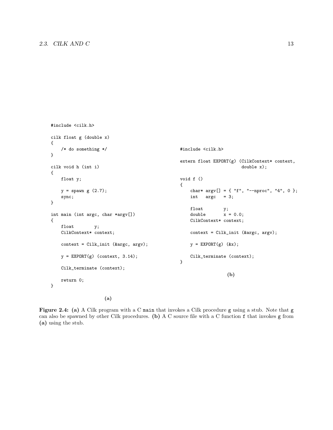```
#include <cilk.h>
cilk float g (double x)
{
    /* do something */
}
cilk void h (int i)
{
    float y;
    y = spawn g(2.7);
    sync;
}
int main (int argc, char *argv[])
{
    float y;
    CilkContext* context;
    context = Cilk_init (&argc, argv);
   y = EXPORT(g) (context, 3.14);
    Cilk_terminate (context);
   return 0;
}
                                                 #include <cilk.h>
                                                 extern float EXPORT(g) (CilkContext* context,
                                                                         double x);
                                                 void f ()
                                                 {
                                                     char* argv[] = { "f", "--nproc", "4", 0 };
                                                     int argc = 3;
                                                     float y;
                                                     double x = 0.0;
                                                     CilkContext* context;
                                                     context = Cilk_init (&argc, argv);
                                                     y = EXPORT(g) (&x);
                                                     Cilk_terminate (context);
                                                 }
                                                                    (b)
```
(a)

Figure 2.4: (a) A Cilk program with a C main that invokes a Cilk procedure g using a stub. Note that g can also be spawned by other Cilk procedures. (b) A C source file with a C function f that invokes g from (a) using the stub.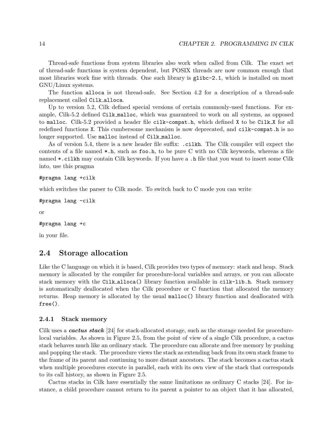Thread-safe functions from system libraries also work when called from Cilk. The exact set of thread-safe functions is system dependent, but POSIX threads are now common enough that most libraries work fine with threads. One such library is glibc-2.1, which is installed on most GNU/Linux systems.

The function alloca is not thread-safe. See Section 4.2 for a description of a thread-safe replacement called Cilk alloca.

Up to version 5.2, Cilk defined special versions of certain commonly-used functions. For example, Cilk-5.2 defined Cilk malloc, which was guaranteed to work on all systems, as opposed to malloc. Cilk-5.2 provided a header file cilk-compat.h, which defined X to be Cilk X for all redefined functions X. This cumbersome mechanism is now deprecated, and cilk-compat.h is no longer supported. Use malloc instead of Cilk malloc.

As of version 5.4, there is a new header file suffix: .cilkh. The Cilk compiler will expect the contents of a file named  $\ast$ .h, such as foo.h, to be pure C with no Cilk keywords, whereas a file named \*.cilkh may contain Cilk keywords. If you have a .h file that you want to insert some Cilk into, use this pragma

```
#pragma lang +cilk
```
which switches the parser to Cilk mode. To switch back to C mode you can write

```
#pragma lang -cilk
```
or

```
#pragma lang +c
```
in your file.

## 2.4 Storage allocation

Like the C language on which it is based, Cilk provides two types of memory: stack and heap. Stack memory is allocated by the compiler for procedure-local variables and arrays, or you can allocate stack memory with the Cilk alloca() library function available in cilk-lib.h. Stack memory is automatically deallocated when the Cilk procedure or C function that allocated the memory returns. Heap memory is allocated by the usual malloc() library function and deallocated with free().

#### 2.4.1 Stack memory

Cilk uses a *cactus stack* [24] for stack-allocated storage, such as the storage needed for procedurelocal variables. As shown in Figure 2.5, from the point of view of a single Cilk procedure, a cactus stack behaves much like an ordinary stack. The procedure can allocate and free memory by pushing and popping the stack. The procedure views the stack as extending back from its own stack frame to the frame of its parent and continuing to more distant ancestors. The stack becomes a cactus stack when multiple procedures execute in parallel, each with its own view of the stack that corresponds to its call history, as shown in Figure 2.5.

Cactus stacks in Cilk have essentially the same limitations as ordinary C stacks [24]. For instance, a child procedure cannot return to its parent a pointer to an object that it has allocated,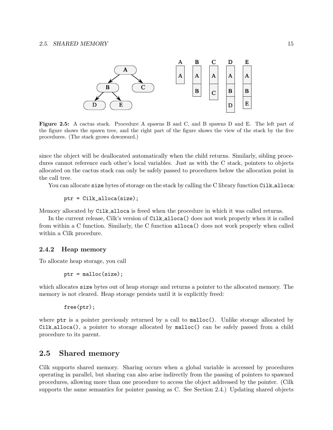

Figure 2.5: A cactus stack. Procedure A spawns B and C, and B spawns D and E. The left part of the figure shows the spawn tree, and the right part of the figure shows the view of the stack by the five procedures. (The stack grows downward.)

since the object will be deallocated automatically when the child returns. Similarly, sibling procedures cannot reference each other's local variables. Just as with the C stack, pointers to objects allocated on the cactus stack can only be safely passed to procedures below the allocation point in the call tree.

You can allocate size bytes of storage on the stack by calling the C library function Cilk alloca:

ptr = Cilk\_alloca(size);

Memory allocated by Cilk alloca is freed when the procedure in which it was called returns.

In the current release, Cilk's version of Cilk alloca() does not work properly when it is called from within a C function. Similarly, the C function alloca() does not work properly when called within a Cilk procedure.

#### 2.4.2 Heap memory

To allocate heap storage, you call

 $ptr = malloc(size);$ 

which allocates size bytes out of heap storage and returns a pointer to the allocated memory. The memory is not cleared. Heap storage persists until it is explicitly freed:

free(ptr);

where ptr is a pointer previously returned by a call to malloc(). Unlike storage allocated by Cilk alloca(), a pointer to storage allocated by malloc() can be safely passed from a child procedure to its parent.

## 2.5 Shared memory

Cilk supports shared memory. Sharing occurs when a global variable is accessed by procedures operating in parallel, but sharing can also arise indirectly from the passing of pointers to spawned procedures, allowing more than one procedure to access the object addressed by the pointer. (Cilk supports the same semantics for pointer passing as C. See Section 2.4.) Updating shared objects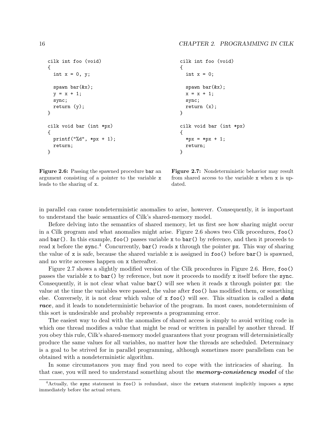```
cilk int foo (void)
{
  int x = 0, y;
  spawn bar(&x);
  y = x + 1;sync;
  return (y);
}
cilk void bar (int *px)
{
 printf("%d", *px + 1);
  return;
}
                                                   cilk int foo (void)
                                                   {
                                                     int x = 0;
                                                     spawn bar(&x);
                                                     x = x + 1;
                                                     sync;
                                                     return (x);
                                                   }
                                                   cilk void bar (int *px)
                                                   \mathcal{F}*px = *px + 1;
                                                     return;
                                                   }
```
Figure 2.6: Passing the spawned procedure bar an argument consisting of a pointer to the variable x leads to the sharing of x.

Figure 2.7: Nondeterministic behavior may result from shared access to the variable x when x is updated.

in parallel can cause nondeterministic anomalies to arise, however. Consequently, it is important to understand the basic semantics of Cilk's shared-memory model.

Before delving into the semantics of shared memory, let us first see how sharing might occur in a Cilk program and what anomalies might arise. Figure 2.6 shows two Cilk procedures, foo() and bar(). In this example, foo() passes variable x to bar() by reference, and then it proceeds to read x before the sync.<sup>4</sup> Concurrently, bar() reads x through the pointer px. This way of sharing the value of x is safe, because the shared variable x is assigned in  $foo()$  before  $bar()$  is spawned, and no write accesses happen on x thereafter.

Figure 2.7 shows a slightly modified version of the Cilk procedures in Figure 2.6. Here, foo() passes the variable x to bar() by reference, but now it proceeds to modify x itself before the sync. Consequently, it is not clear what value  $bar()$  will see when it reads x through pointer px: the value at the time the variables were passed, the value after foo() has modified them, or something else. Conversely, it is not clear which value of  $x \text{foo}()$  will see. This situation is called a **data** race, and it leads to nondeterministic behavior of the program. In most cases, nondeterminism of this sort is undesirable and probably represents a programming error.

The easiest way to deal with the anomalies of shared access is simply to avoid writing code in which one thread modifies a value that might be read or written in parallel by another thread. If you obey this rule, Cilk's shared-memory model guarantees that your program will deterministically produce the same values for all variables, no matter how the threads are scheduled. Determinacy is a goal to be strived for in parallel programming, although sometimes more parallelism can be obtained with a nondeterministic algorithm.

In some circumstances you may find you need to cope with the intricacies of sharing. In that case, you will need to understand something about the **memory-consistency model** of the

<sup>4</sup>Actually, the sync statement in foo() is redundant, since the return statement implicitly imposes a sync immediately before the actual return.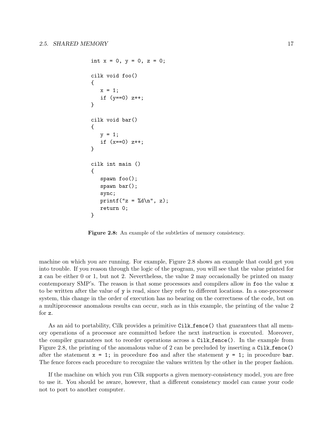```
int x = 0, y = 0, z = 0;
cilk void foo()
{
   x = 1;
   if (y == 0) z++;}
cilk void bar()
{
   y = 1;if (x == 0) z++;}
cilk int main ()
{
   spawn foo();
   spawn bar();
   sync;
   printf("z = \lambda d \nightharpoonup", z);
   return 0;
}
```
Figure 2.8: An example of the subtleties of memory consistency.

machine on which you are running. For example, Figure 2.8 shows an example that could get you into trouble. If you reason through the logic of the program, you will see that the value printed for z can be either 0 or 1, but not 2. Nevertheless, the value 2 may occasionally be printed on many contemporary SMP's. The reason is that some processors and compilers allow in foo the value x to be written after the value of y is read, since they refer to different locations. In a one-processor system, this change in the order of execution has no bearing on the correctness of the code, but on a multiprocessor anomalous results can occur, such as in this example, the printing of the value 2 for z.

As an aid to portability, Cilk provides a primitive Cilk fence () that guarantees that all memory operations of a processor are committed before the next instruction is executed. Moreover, the compiler guarantees not to reorder operations across a Cilk fence(). In the example from Figure 2.8, the printing of the anomalous value of 2 can be precluded by inserting a Cilk fence() after the statement  $x = 1$ ; in procedure foo and after the statement  $y = 1$ ; in procedure bar. The fence forces each procedure to recognize the values written by the other in the proper fashion.

If the machine on which you run Cilk supports a given memory-consistency model, you are free to use it. You should be aware, however, that a different consistency model can cause your code not to port to another computer.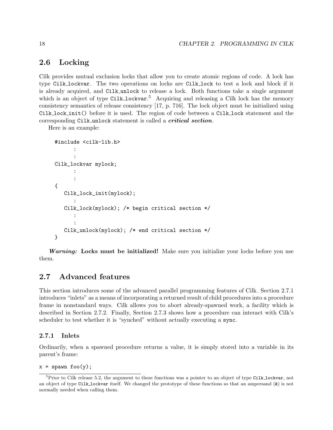## 2.6 Locking

Cilk provides mutual exclusion locks that allow you to create atomic regions of code. A lock has type Cilk lockvar. The two operations on locks are Cilk lock to test a lock and block if it is already acquired, and Cilk unlock to release a lock. Both functions take a single argument which is an object of type Cilk lockvar.<sup>5</sup> Acquiring and releasing a Cilk lock has the memory consistency semantics of release consistency [17, p. 716]. The lock object must be initialized using Cilk lock init() before it is used. The region of code between a Cilk lock statement and the corresponding Cilk unlock statement is called a *critical section*.

Here is an example:

```
#include <cilk-lib.h>
      :
      :
Cilk_lockvar mylock;
      :
      :
{
   Cilk_lock_init(mylock);
      :
   Cilk_lock(mylock); /* begin critical section */
      :
      :
   Cilk_unlock(mylock); /* end critical section */
}
```
Warning: Locks must be initialized! Make sure you initialize your locks before you use them.

## 2.7 Advanced features

This section introduces some of the advanced parallel programming features of Cilk. Section 2.7.1 introduces "inlets" as a means of incorporating a returned result of child procedures into a procedure frame in nonstandard ways. Cilk allows you to abort already-spawned work, a facility which is described in Section 2.7.2. Finally, Section 2.7.3 shows how a procedure can interact with Cilk's scheduler to test whether it is "synched" without actually executing a sync.

#### 2.7.1 Inlets

Ordinarily, when a spawned procedure returns a value, it is simply stored into a variable in its parent's frame:

 $x =$  spawn foo(y);

 ${}^{5}P$ rior to Cilk release 5.2, the argument to these functions was a pointer to an object of type Cilk lockvar, not an object of type Cilk lockvar itself. We changed the prototype of these functions so that an ampersand  $(k)$  is not normally needed when calling them.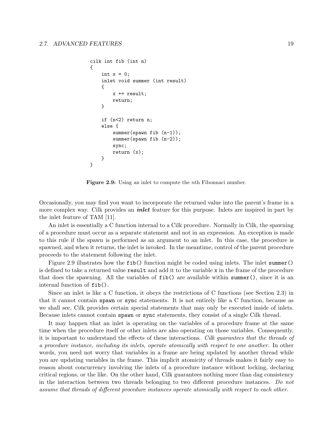```
cilk int fib (int n)
{
    int x = 0;
    inlet void summer (int result)
    {
        x += result;
        return;
    }
    if (n<2) return n;
    else {
        summer(spawn fib (n-1));
        summer(spawn fib (n-2));
        sync;
        return (x);
    }
}
```
Figure 2.9: Using an inlet to compute the *nth* Fibonnaci number.

Occasionally, you may find you want to incorporate the returned value into the parent's frame in a more complex way. Cilk provides an *inlet* feature for this purpose. Inlets are inspired in part by the inlet feature of TAM [11].

An inlet is essentially a C function internal to a Cilk procedure. Normally in Cilk, the spawning of a procedure must occur as a separate statement and not in an expression. An exception is made to this rule if the spawn is performed as an argument to an inlet. In this case, the procedure is spawned, and when it returns, the inlet is invoked. In the meantime, control of the parent procedure proceeds to the statement following the inlet.

Figure 2.9 illustrates how the fib() function might be coded using inlets. The inlet summer() is defined to take a returned value result and add it to the variable x in the frame of the procedure that does the spawning. All the variables of fib() are available within summer(), since it is an internal function of fib().

Since an inlet is like a C function, it obeys the restrictions of C functions (see Section 2.3) in that it cannot contain spawn or sync statements. It is not entirely like a C function, because as we shall see, Cilk provides certain special statements that may only be executed inside of inlets. Because inlets cannot contain spawn or sync statements, they consist of a single Cilk thread.

It may happen that an inlet is operating on the variables of a procedure frame at the same time when the procedure itself or other inlets are also operating on those variables. Consequently, it is important to understand the effects of these interactions. Cilk guarantees that the threads of a procedure instance, including its inlets, operate atomically with respect to one another. In other words, you need not worry that variables in a frame are being updated by another thread while you are updating variables in the frame. This implicit atomicity of threads makes it fairly easy to reason about concurrency involving the inlets of a procedure instance without locking, declaring critical regions, or the like. On the other hand, Cilk guarantees nothing more than dag consistency in the interaction between two threads belonging to two different procedure instances. Do not assume that threads of different procedure instances operate atomically with respect to each other.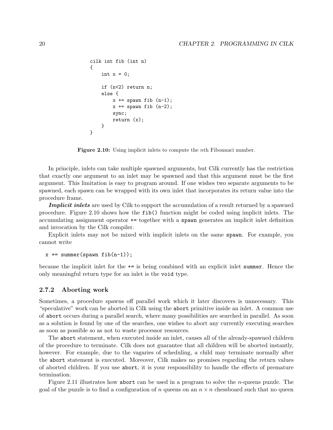```
cilk int fib (int n)
{
    int x = 0;
    if (n<2) return n;
    else {
        x += spawn fib (n-1);
        x += spawn fib (n-2);
        sync;
        return (x);
    }
}
```
Figure 2.10: Using implicit inlets to compute the nth Fibonnaci number.

In principle, inlets can take multiple spawned arguments, but Cilk currently has the restriction that exactly one argument to an inlet may be spawned and that this argument must be the first argument. This limitation is easy to program around. If one wishes two separate arguments to be spawned, each spawn can be wrapped with its own inlet that incorporates its return value into the procedure frame.

**Implicit inlets** are used by Cilk to support the accumulation of a result returned by a spawned procedure. Figure 2.10 shows how the fib() function might be coded using implicit inlets. The accumulating assignment operator += together with a spawn generates an implicit inlet definition and invocation by the Cilk compiler.

Explicit inlets may not be mixed with implicit inlets on the same spawn. For example, you cannot write

```
x += summer(spawn fib(n-1));
```
because the implicit inlet for the += is being combined with an explicit inlet summer. Hence the only meaningful return type for an inlet is the void type.

#### 2.7.2 Aborting work

Sometimes, a procedure spawns off parallel work which it later discovers is unnecessary. This "speculative" work can be aborted in Cilk using the abort primitive inside an inlet. A common use of abort occurs during a parallel search, where many possibilities are searched in parallel. As soon as a solution is found by one of the searches, one wishes to abort any currently executing searches as soon as possible so as not to waste processor resources.

The abort statement, when executed inside an inlet, causes all of the already-spawned children of the procedure to terminate. Cilk does not guarantee that all children will be aborted instantly, however. For example, due to the vagaries of scheduling, a child may terminate normally after the abort statement is executed. Moreover, Cilk makes no promises regarding the return values of aborted children. If you use abort, it is your responsibility to handle the effects of premature termination.

Figure 2.11 illustrates how abort can be used in a program to solve the n-queens puzzle. The goal of the puzzle is to find a configuration of n queens on an  $n \times n$  chessboard such that no queen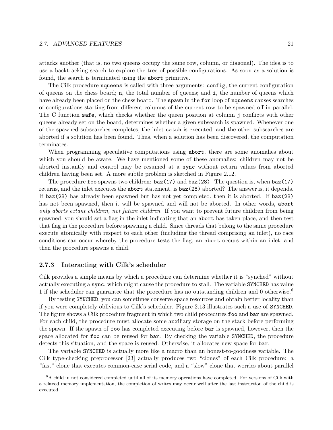#### 2.7. ADVANCED FEATURES 21

attacks another (that is, no two queens occupy the same row, column, or diagonal). The idea is to use a backtracking search to explore the tree of possible configurations. As soon as a solution is found, the search is terminated using the abort primitive.

The Cilk procedure nqueens is called with three arguments: config, the current configuration of queens on the chess board; n, the total number of queens; and i, the number of queens which have already been placed on the chess board. The spawn in the for loop of nqueens causes searches of configurations starting from different columns of the current row to be spawned off in parallel. The C function safe, which checks whether the queen position at column j conflicts with other queens already set on the board, determines whether a given subsearch is spawned. Whenever one of the spawned subsearches completes, the inlet catch is executed, and the other subsearches are aborted if a solution has been found. Thus, when a solution has been discovered, the computation terminates.

When programming speculative computations using abort, there are some anomalies about which you should be aware. We have mentioned some of these anomalies: children may not be aborted instantly and control may be resumed at a sync without return values from aborted children having been set. A more subtle problem is sketched in Figure 2.12.

The procedure foo spawns two children:  $baz(17)$  and  $baz(28)$ . The question is, when  $baz(17)$ returns, and the inlet executes the abort statement, is baz(28) aborted? The answer is, it depends. If baz(28) has already been spawned but has not yet completed, then it is aborted. If baz(28) has not been spawned, then it will be spawned and will not be aborted. In other words, abort only aborts extant children, not future children. If you want to prevent future children from being spawned, you should set a flag in the inlet indicating that an abort has taken place, and then test that flag in the procedure before spawning a child. Since threads that belong to the same procedure execute atomically with respect to each other (including the thread comprising an inlet), no race conditions can occur whereby the procedure tests the flag, an abort occurs within an inlet, and then the procedure spawns a child.

#### 2.7.3 Interacting with Cilk's scheduler

Cilk provides a simple means by which a procedure can determine whether it is "synched" without actually executing a sync, which might cause the procedure to stall. The variable SYNCHED has value 1 if the scheduler can guarantee that the procedure has no outstanding children and 0 otherwise.<sup>6</sup>

By testing SYNCHED, you can sometimes conserve space resources and obtain better locality than if you were completely oblivious to Cilk's scheduler. Figure 2.13 illustrates such a use of SYNCHED. The figure shows a Cilk procedure fragment in which two child procedures foo and bar are spawned. For each child, the procedure must allocate some auxiliary storage on the stack before performing the spawn. If the spawn of foo has completed executing before bar is spawned, however, then the space allocated for foo can be reused for bar. By checking the variable SYNCHED, the procedure detects this situation, and the space is reused. Otherwise, it allocates new space for bar.

The variable SYNCHED is actually more like a macro than an honest-to-goodness variable. The Cilk type-checking preprocessor [23] actually produces two "clones" of each Cilk procedure: a "fast" clone that executes common-case serial code, and a "slow" clone that worries about parallel

<sup>6</sup>A child in not considered completed until all of its memory operations have completed. For versions of Cilk with a relaxed memory implementation, the completion of writes may occur well after the last instruction of the child is executed.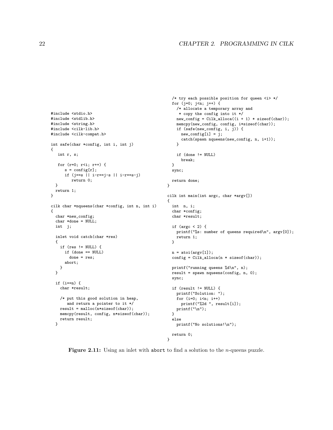```
#include <stdio.h>
#include <stdlib.h>
#include <string.h>
#include <cilk-lib.h>
#include <cilk-compat.h>
int safe(char *config, int i, int j)
{
   int r, s;
   for (r=0; r<i; r++) {
      s = \text{config}[r];if (j==s || i-r==j-s || i-r==s-j)
         return 0;
  }
  return 1;
}
cilk char *nqueens(char *config, int n, int i)
{
  char *new_config;
  char *done = NULL;
  int j;
  inlet void catch(char *res)
  {
    if (res != NULL) {
      if (done == NULL)
        done = res;
      abort;
   }
  }
  if (i == n) {
    char *result;
    /* put this good solution in heap,
       and return a pointer to it */
    result = malloc(n*sizeof(char));
    memcpy(result, config, n*sizeof(char));
    return result;
  }
                                                      }
                                                    }
                                                    {
                                                      }
                                                      }
```

```
/* try each possible position for queen <i> */
  for (j=0; j<n; j++) {
    /* allocate a temporary array and
    * copy the config into it */
   new\_config = Cilk\_alloc((i + 1) * sizeof(char));memcpy(new_config, config, i*sizeof(char));
    if (safe(new_config, i, j)) {
     new_config[i] = j;
     catch(spawn nqueens(new_config, n, i+1));
   }
   if (done != NULL)
      break;
  sync;
 return done;
cilk int main(int argc, char *argv[])
  int n, i;
 char *config;
  char *result;
  if (argc < 2) {
    printf("%s: number of queens required\n", argv[0]);
   return 1;
 n = \text{atoi}(\text{argv}[1]);config = Cilk_alloca(n * sizeof(char));printf("running queens %d\n", n);
 result = spawn nqueens(config, n, 0);
 sync;
 if (result != NULL) {
   printf("Solution: ");
   for (i=0; i<n; i++)
     printf("%2d ", result[i]);
   printf("\ln");
  else
    printf("No solutions!\n");
```
Figure 2.11: Using an inlet with abort to find a solution to the *n*-queens puzzle.

}

return 0;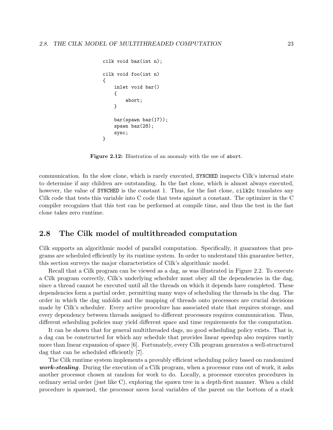```
cilk void baz(int n);
cilk void foo(int n)
{
    inlet void bar()
    {
        abort;
    }
    bar(spawn baz(17));
    spawn baz(28);
    sync;
}
```
Figure 2.12: Illustration of an anomaly with the use of abort.

communication. In the slow clone, which is rarely executed, SYNCHED inspects Cilk's internal state to determine if any children are outstanding. In the fast clone, which is almost always executed, however, the value of SYNCHED is the constant 1. Thus, for the fast clone, cilk2c translates any Cilk code that tests this variable into C code that tests against a constant. The optimizer in the C compiler recognizes that this test can be performed at compile time, and thus the test in the fast clone takes zero runtime.

## 2.8 The Cilk model of multithreaded computation

Cilk supports an algorithmic model of parallel computation. Specifically, it guarantees that programs are scheduled efficiently by its runtime system. In order to understand this guarantee better, this section surveys the major characteristics of Cilk's algorithmic model.

Recall that a Cilk program can be viewed as a dag, as was illustrated in Figure 2.2. To execute a Cilk program correctly, Cilk's underlying scheduler must obey all the dependencies in the dag, since a thread cannot be executed until all the threads on which it depends have completed. These dependencies form a partial order, permitting many ways of scheduling the threads in the dag. The order in which the dag unfolds and the mapping of threads onto processors are crucial decisions made by Cilk's scheduler. Every active procedure has associated state that requires storage, and every dependency between threads assigned to different processors requires communication. Thus, different scheduling policies may yield different space and time requirements for the computation.

It can be shown that for general multithreaded dags, no good scheduling policy exists. That is, a dag can be constructed for which any schedule that provides linear speedup also requires vastly more than linear expansion of space [6]. Fortunately, every Cilk program generates a well-structured dag that can be scheduled efficiently [7].

The Cilk runtime system implements a provably efficient scheduling policy based on randomized work-stealing. During the execution of a Cilk program, when a processor runs out of work, it asks another processor chosen at random for work to do. Locally, a processor executes procedures in ordinary serial order (just like C), exploring the spawn tree in a depth-first manner. When a child procedure is spawned, the processor saves local variables of the parent on the bottom of a stack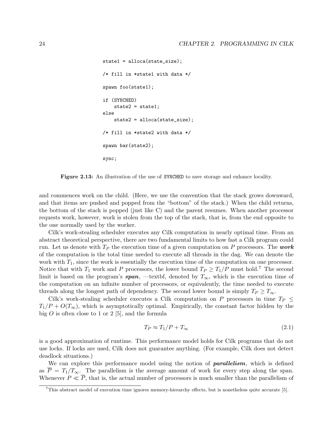```
state1 = alloca(state_size);
/* fill in *state1 with data */
spawn foo(state1);
if (SYNCHED)
    state2 = state1;else
    state2 = alloca(state_size);
/* fill in *state2 with data */
spawn bar(state2);
sync;
```
Figure 2.13: An illustration of the use of SYNCHED to save storage and enhance locality.

and commences work on the child. (Here, we use the convention that the stack grows downward, and that items are pushed and popped from the "bottom" of the stack.) When the child returns, the bottom of the stack is popped (just like C) and the parent resumes. When another processor requests work, however, work is stolen from the top of the stack, that is, from the end opposite to the one normally used by the worker.

Cilk's work-stealing scheduler executes any Cilk computation in nearly optimal time. From an abstract theoretical perspective, there are two fundamental limits to how fast a Cilk program could run. Let us denote with  $T_P$  the execution time of a given computation on P processors. The work of the computation is the total time needed to execute all threads in the dag. We can denote the work with  $T_1$ , since the work is essentially the execution time of the computation on one processor. Notice that with  $T_1$  work and P processors, the lower bound  $T_P \geq T_1/P$  must hold.<sup>7</sup> The second limit is based on the program's **span**, —textbf, denoted by  $T_{\infty}$ , which is the execution time of the computation on an infinite number of processors, or equivalently, the time needed to execute threads along the longest path of dependency. The second lower bound is simply  $T_P \geq T_{\infty}$ .

Cilk's work-stealing scheduler executes a Cilk computation on P processors in time  $T_P \leq$  $T_1/P + O(T_{\infty})$ , which is asymptotically optimal. Empirically, the constant factor hidden by the big  $O$  is often close to 1 or 2 [5], and the formula

$$
T_P \approx T_1/P + T_\infty \tag{2.1}
$$

is a good approximation of runtime. This performance model holds for Cilk programs that do not use locks. If locks are used, Cilk does not guarantee anything. (For example, Cilk does not detect deadlock situations.)

We can explore this performance model using the notion of **parallelism**, which is defined as  $\overline{P} = T_1/T_\infty$ . The parallelism is the average amount of work for every step along the span. Whenever  $P \ll \overline{P}$ , that is, the actual number of processors is much smaller than the parallelism of

<sup>&</sup>lt;sup>7</sup>This abstract model of execution time ignores memory-hierarchy effects, but is nonetheless quite accurate [5].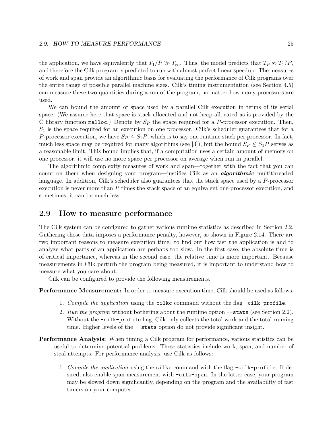#### 2.9. HOW TO MEASURE PERFORMANCE 25

the application, we have equivalently that  $T_1/P \gg T_\infty$ . Thus, the model predicts that  $T_P \approx T_1/P$ , and therefore the Cilk program is predicted to run with almost perfect linear speedup. The measures of work and span provide an algorithmic basis for evaluating the performance of Cilk programs over the entire range of possible parallel machine sizes. Cilk's timing instrumentation (see Section 4.5) can measure these two quantities during a run of the program, no matter how many processors are used.

We can bound the amount of space used by a parallel Cilk execution in terms of its serial space. (We assume here that space is stack allocated and not heap allocated as is provided by the C library function malloc.) Denote by  $S_P$  the space required for a P-processor execution. Then,  $S_1$  is the space required for an execution on one processor. Cilk's scheduler guarantees that for a P-processor execution, we have  $S_P \leq S_1P$ , which is to say one runtime stack per processor. In fact, much less space may be required for many algorithms (see [3]), but the bound  $S_P \leq S_1P$  serves as a reasonable limit. This bound implies that, if a computation uses a certain amount of memory on one processor, it will use no more space per processor on average when run in parallel.

The algorithmic complexity measures of work and span—together with the fact that you can count on them when designing your program—justifies Cilk as an **algorithmic** multithreaded language. In addition, Cilk's scheduler also guarantees that the stack space used by a P-processor execution is never more than P times the stack space of an equivalent one-processor execution, and sometimes, it can be much less.

### 2.9 How to measure performance

The Cilk system can be configured to gather various runtime statistics as described in Section 2.2. Gathering those data imposes a performance penalty, however, as shown in Figure 2.14. There are two important reasons to measure execution time: to find out how fast the application is and to analyze what parts of an application are perhaps too slow. In the first case, the absolute time is of critical importance, whereas in the second case, the relative time is more important. Because measurements in Cilk perturb the program being measured, it is important to understand how to measure what you care about.

Cilk can be configured to provide the following measurements.

Performance Measurement: In order to measure execution time, Cilk should be used as follows.

- 1. Compile the application using the cilkc command without the flag -cilk-profile.
- 2. Run the program without bothering about the runtime option --stats (see Section 2.2). Without the  $-cilk-profile$  flag, Cilk only collects the total work and the total running time. Higher levels of the --stats option do not provide significant insight.
- Performance Analysis: When tuning a Cilk program for performance, various statistics can be useful to determine potential problems. These statistics include work, span, and number of steal attempts. For performance analysis, use Cilk as follows:
	- 1. Compile the application using the cilkc command with the flag -cilk-profile. If desired, also enable span measurement with -cilk-span. In the latter case, your program may be slowed down significantly, depending on the program and the availability of fast timers on your computer.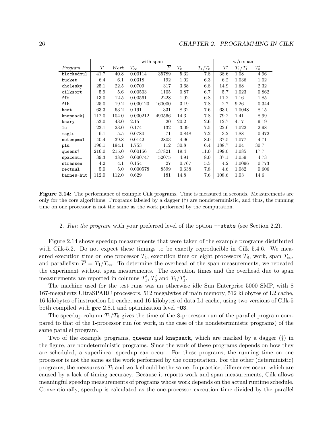|                       | with span |       |              |                |       | $w/o$ span |        |            |        |
|-----------------------|-----------|-------|--------------|----------------|-------|------------|--------|------------|--------|
| Program               | $T_1$     | Work  | $T_{\infty}$ | $\overline{P}$ | $T_8$ | $T_1/T_8$  | $T_1'$ | $T_1/T_1'$ | $T_8'$ |
| blockedmul            | 41.7      | 40.8  | 0.00114      | 35789          | 5.32  | 7.8        | 38.6   | 1.08       | 4.96   |
| bucket                | 6.4       | 6.1   | 0.0318       | 192            | 1.02  | 6.3        | 6.2    | 1.036      | 1.02   |
| cholesky              | 25.1      | 22.5  | 0.0709       | 317            | 3.68  | 6.8        | 14.9   | 1.68       | 2.32   |
| cilksort              | 5.9       | 5.6   | 0.00503      | 1105           | 0.87  | 6.7        | 5.7    | 1.023      | 0.862  |
| fft                   | 13.0      | 12.5  | 0.00561      | 2228           | 1.92  | 6.8        | 11.2   | 1.16       | 1.85   |
| fib                   | 25.0      | 19.2  | 0.000120     | 160000         | 3.19  | 7.8        | 2.7    | 9.26       | 0.344  |
| heat                  | 63.3      | 63.2  | 0.191        | 331            | 8.32  | 7.6        | 63.0   | 1.0048     | 8.15   |
| knapsack <sup>+</sup> | 112.0     | 104.0 | 0.000212     | 490566         | 14.3  | 7.8        | 79.2   | 1.41       | 8.99   |
| knary                 | 53.0      | 43.0  | 2.15         | 20             | 20.2  | $2.6\,$    | 12.7   | 4.17       | 9.19   |
| lu                    | 23.1      | 23.0  | 0.174        | 132            | 3.09  | 7.5        | 22.6   | 1.022      | 2.98   |
| magic                 | 6.1       | 5.5   | 0.0780       | 71             | 0.848 | 7.2        | 3.2    | 1.88       | 0.472  |
| notempmul             | 40.4      | 39.8  | 0.0142       | 2803           | 4.96  | 8.0        | 37.5   | 1.077      | 4.71   |
| plu                   | 196.1     | 194.1 | 1.753        | 112            | 30.8  | 6.4        | 188.7  | 1.04       | 30.7   |
| queens†               | 216.0     | 215.0 | 0.00156      | 137821         | 19.4  | 11.0       | 199.0  | 1.085      | 17.7   |
| spacemul              | 39.3      | 38.9  | 0.000747     | 52075          | 4.91  | 8.0        | 37.1   | 1.059      | 4.73   |
| strassen              | 4.2       | 4.1   | 0.154        | 27             | 0.767 | $5.5\,$    | 4.2    | 1.0096     | 0.773  |
| rectmul               | 5.0       | 5.0   | 0.000578     | 8599           | 0.638 | 7.8        | 4.6    | 1.082      | 0.606  |
| barnes-hut            | 112.0     | 112.0 | 0.629        | 181            | 14.8  | 7.6        | 108.6  | 1.03       | 14.6   |

Figure 2.14: The performance of example Cilk programs. Time is measured in seconds. Measurements are only for the core algorithms. Programs labeled by a dagger  $(†)$  are nondeterministic, and thus, the running time on one processor is not the same as the work performed by the computation.

#### 2. Run the program with your preferred level of the option --stats (see Section 2.2).

Figure 2.14 shows speedup measurements that were taken of the example programs distributed with Cilk-5.2. Do not expect these timings to be exactly reproducible in Cilk 5.4.6. We measured execution time on one processor  $T_1$ , execution time on eight processors  $T_8$ , work, span  $T_{\infty}$ , and parallelism  $\overline{P} = T_1/T_\infty$ . To determine the overhead of the span measurements, we repeated the experiment without span mesurements. The execution times and the overhead due to span measurements are reported in columns  $T_1', T_8'$  and  $T_1/T_1'$ .

The machine used for the test runs was an otherwise idle Sun Enterprise 5000 SMP, with 8 167-megahertz UltraSPARC processors, 512 megabytes of main memory, 512 kilobytes of L2 cache, 16 kilobytes of instruction L1 cache, and 16 kilobytes of data L1 cache, using two versions of Cilk-5 both compiled with gcc 2.8.1 and optimization level -O3.

The speedup column  $T_1/T_8$  gives the time of the 8-processor run of the parallel program compared to that of the 1-processor run (or work, in the case of the nondeterministic programs) of the same parallel program.

Two of the example programs, queens and knapsack, which are marked by a dagger (†) in the figure, are nondeterministic programs. Since the work of these programs depends on how they are scheduled, a superlinear speedup can occur. For these programs, the running time on one processor is not the same as the work performed by the computation. For the other (deterministic) programs, the measures of  $T_1$  and work should be the same. In practice, differences occur, which are caused by a lack of timing accuracy. Because it reports work and span measurements, Cilk allows meaningful speedup measurements of programs whose work depends on the actual runtime schedule. Conventionally, speedup is calculated as the one-processor execution time divided by the parallel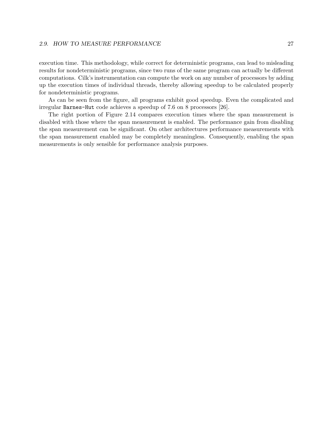#### 2.9. HOW TO MEASURE PERFORMANCE 27

execution time. This methodology, while correct for deterministic programs, can lead to misleading results for nondeterministic programs, since two runs of the same program can actually be different computations. Cilk's instrumentation can compute the work on any number of processors by adding up the execution times of individual threads, thereby allowing speedup to be calculated properly for nondeterministic programs.

As can be seen from the figure, all programs exhibit good speedup. Even the complicated and irregular Barnes-Hut code achieves a speedup of 7.6 on 8 processors [26].

The right portion of Figure 2.14 compares execution times where the span measurement is disabled with those where the span measurement is enabled. The performance gain from disabling the span measurement can be significant. On other architectures performance measurements with the span measurement enabled may be completely meaningless. Consequently, enabling the span measurements is only sensible for performance analysis purposes.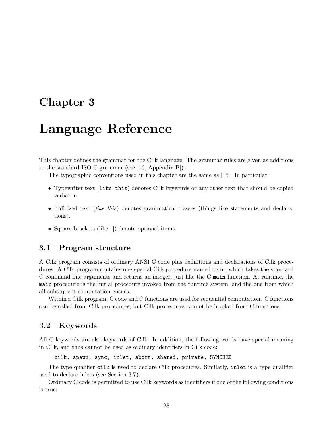## Chapter 3

# Language Reference

This chapter defines the grammar for the Cilk language. The grammar rules are given as additions to the standard ISO C grammar (see [16, Appendix B]).

The typographic conventions used in this chapter are the same as [16]. In particular:

- Typewriter text (like this) denotes Cilk keywords or any other text that should be copied verbatim.
- Italicized text *(like this)* denotes grammatical classes *(things like statements and declara*tions).
- Square brackets (like []) denote optional items.

## 3.1 Program structure

A Cilk program consists of ordinary ANSI C code plus definitions and declarations of Cilk procedures. A Cilk program contains one special Cilk procedure named main, which takes the standard C command line arguments and returns an integer, just like the C main function. At runtime, the main procedure is the initial procedure invoked from the runtime system, and the one from which all subsequent computation ensues.

Within a Cilk program, C code and C functions are used for sequential computation. C functions can be called from Cilk procedures, but Cilk procedures cannot be invoked from C functions.

## 3.2 Keywords

All C keywords are also keywords of Cilk. In addition, the following words have special meaning in Cilk, and thus cannot be used as ordinary identifiers in Cilk code:

cilk, spawn, sync, inlet, abort, shared, private, SYNCHED

The type qualifier cilk is used to declare Cilk procedures. Similarly, inlet is a type qualifier used to declare inlets (see Section 3.7).

Ordinary C code is permitted to use Cilk keywords as identifiers if one of the following conditions is true: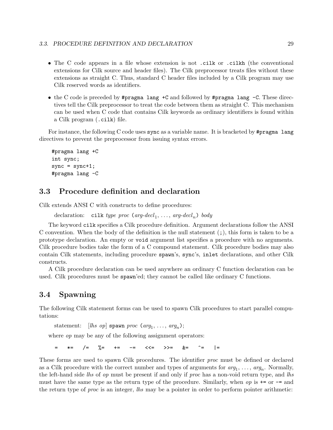- The C code appears in a file whose extension is not .cilk or .cilkh (the conventional extensions for Cilk source and header files). The Cilk preprocessor treats files without these extensions as straight C. Thus, standard C header files included by a Cilk program may use Cilk reserved words as identifiers.
- the C code is preceded by #pragma lang +C and followed by #pragma lang -C. These directives tell the Cilk preprocessor to treat the code between them as straight C. This mechanism can be used when C code that contains Cilk keywords as ordinary identifiers is found within a Cilk program (.cilk) file.

For instance, the following C code uses sync as a variable name. It is bracketed by #pragma lang directives to prevent the preprocessor from issuing syntax errors.

```
#pragma lang +C
int sync;
sync = sync + 1;#pragma lang -C
```
## 3.3 Procedure definition and declaration

Cilk extends ANSI C with constructs to define procedures:

```
declaration: cilk type proc (arg-decl<sub>1</sub>, ..., arg-decl<sub>n</sub>) body
```
The keyword cilk specifies a Cilk procedure definition. Argument declarations follow the ANSI C convention. When the body of the definition is the null statement  $($ ;  $)$ , this form is taken to be a prototype declaration. An empty or void argument list specifies a procedure with no arguments. Cilk procedure bodies take the form of a C compound statement. Cilk procedure bodies may also contain Cilk statements, including procedure spawn's, sync's, inlet declarations, and other Cilk constructs.

A Cilk procedure declaration can be used anywhere an ordinary C function declaration can be used. Cilk procedures must be spawn'ed; they cannot be called like ordinary C functions.

## 3.4 Spawning

The following Cilk statement forms can be used to spawn Cilk procedures to start parallel computations:

statement: [lhs op] spawn proc (arg<sub>1</sub>, ..., arg<sub>n</sub>);

where *op* may be any of the following assignment operators:

= \*= /= %= += -= <<= >>= &= ^= |=

These forms are used to spawn Cilk procedures. The identifier proc must be defined or declared as a Cilk procedure with the correct number and types of arguments for  $arg_1, \ldots, arg_n$ . Normally, the left-hand side lhs of op must be present if and only if proc has a non-void return type, and lhs must have the same type as the return type of the procedure. Similarly, when  $op$  is  $+=$  or  $==$  and the return type of *proc* is an integer, lhs may be a pointer in order to perform pointer arithmetic: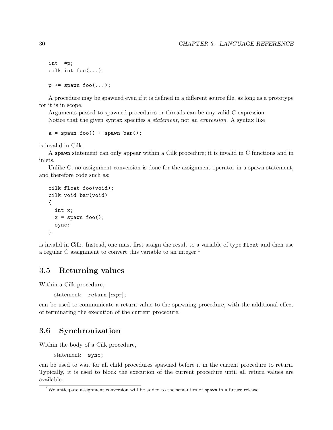```
int *p;
cilk int foo(...);p += spawn foo(...);
```
A procedure may be spawned even if it is defined in a different source file, as long as a prototype for it is in scope.

Arguments passed to spawned procedures or threads can be any valid C expression. Notice that the given syntax specifies a statement, not an expression. A syntax like

```
a = spawn foo() + spawn bar();
```
is invalid in Cilk.

A spawn statement can only appear within a Cilk procedure; it is invalid in C functions and in inlets.

Unlike C, no assignment conversion is done for the assignment operator in a spawn statement, and therefore code such as:

```
cilk float foo(void);
cilk void bar(void)
{
  int x;
  x = spawn foo();
  sync;
}
```
is invalid in Cilk. Instead, one must first assign the result to a variable of type float and then use a regular C assignment to convert this variable to an integer.<sup>1</sup>

## 3.5 Returning values

Within a Cilk procedure,

statement:  $return [expr]$ ;

can be used to communicate a return value to the spawning procedure, with the additional effect of terminating the execution of the current procedure.

## 3.6 Synchronization

Within the body of a Cilk procedure,

statement: sync;

can be used to wait for all child procedures spawned before it in the current procedure to return. Typically, it is used to block the execution of the current procedure until all return values are available:

<sup>&</sup>lt;sup>1</sup>We anticipate assignment conversion will be added to the semantics of  $\epsilon$  spawn in a future release.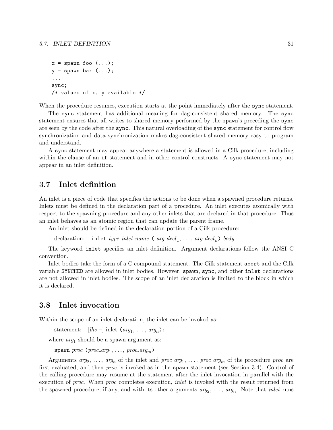```
x = spawn foo (\ldots);y = spawn bar (\ldots);...
sync;
/* values of x, y available */
```
When the procedure resumes, execution starts at the point immediately after the sync statement.

The sync statement has additional meaning for dag-consistent shared memory. The sync statement ensures that all writes to shared memory performed by the spawn's preceding the sync are seen by the code after the sync. This natural overloading of the sync statement for control flow synchronization and data synchronization makes dag-consistent shared memory easy to program and understand.

A sync statement may appear anywhere a statement is allowed in a Cilk procedure, including within the clause of an if statement and in other control constructs. A sync statement may not appear in an inlet definition.

## 3.7 Inlet definition

An inlet is a piece of code that specifies the actions to be done when a spawned procedure returns. Inlets must be defined in the declaration part of a procedure. An inlet executes atomically with respect to the spawning procedure and any other inlets that are declared in that procedure. Thus an inlet behaves as an atomic region that can update the parent frame.

An inlet should be defined in the declaration portion of a Cilk procedure:

declaration: inlet type inlet-name ( $arg-decl_1, ..., arg-decl_n$ ) body

The keyword inlet specifies an inlet definition. Argument declarations follow the ANSI C convention.

Inlet bodies take the form of a C compound statement. The Cilk statement abort and the Cilk variable SYNCHED are allowed in inlet bodies. However, spawn, sync, and other inlet declarations are not allowed in inlet bodies. The scope of an inlet declaration is limited to the block in which it is declared.

## 3.8 Inlet invocation

Within the scope of an inlet declaration, the inlet can be invoked as:

```
statement: [<i>lhs</i> = ] inlet (arg_1, ..., arg_n);
```
where  $arg_1$  should be a spawn argument as:

```
span\;proc\; (proc_{avg_1}, \ldots, \;proc_{avg_m})
```
Arguments  $arg_2, \ldots, arg_n$  of the inlet and  $proc_arg_1, \ldots, proc_arg_m$  of the procedure proc are first evaluated, and then proc is invoked as in the spawn statement (see Section 3.4). Control of the calling procedure may resume at the statement after the inlet invocation in parallel with the execution of proc. When proc completes execution, *inlet* is invoked with the result returned from the spawned procedure, if any, and with its other arguments  $arg_2, \ldots, arg_n$ . Note that *inlet* runs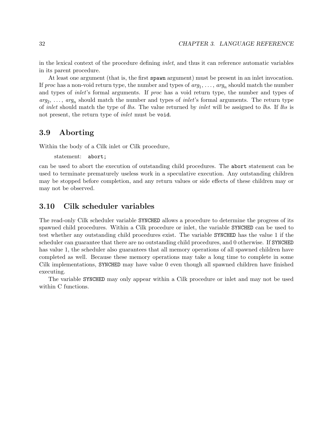in the lexical context of the procedure defining inlet, and thus it can reference automatic variables in its parent procedure.

At least one argument (that is, the first spawn argument) must be present in an inlet invocation. If *proc* has a non-void return type, the number and types of  $arg_1, \ldots, arg_n$  should match the number and types of *inlet's* formal arguments. If *proc* has a void return type, the number and types of  $arg_2, \ldots, arg_n$  should match the number and types of *inlet's* formal arguments. The return type of inlet should match the type of lhs. The value returned by inlet will be assigned to lhs. If lhs is not present, the return type of *inlet* must be void.

## 3.9 Aborting

Within the body of a Cilk inlet or Cilk procedure,

```
statement: abort;
```
can be used to abort the execution of outstanding child procedures. The abort statement can be used to terminate prematurely useless work in a speculative execution. Any outstanding children may be stopped before completion, and any return values or side effects of these children may or may not be observed.

## 3.10 Cilk scheduler variables

The read-only Cilk scheduler variable SYNCHED allows a procedure to determine the progress of its spawned child procedures. Within a Cilk procedure or inlet, the variable SYNCHED can be used to test whether any outstanding child procedures exist. The variable SYNCHED has the value 1 if the scheduler can guarantee that there are no outstanding child procedures, and 0 otherwise. If SYNCHED has value 1, the scheduler also guarantees that all memory operations of all spawned children have completed as well. Because these memory operations may take a long time to complete in some Cilk implementations, SYNCHED may have value 0 even though all spawned children have finished executing.

The variable SYNCHED may only appear within a Cilk procedure or inlet and may not be used within C functions.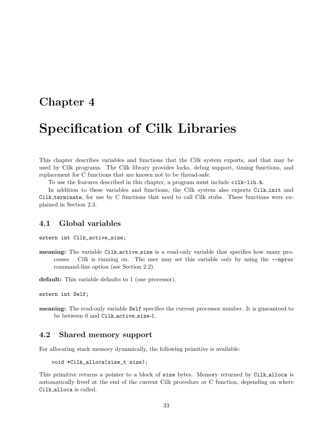## Chapter 4

# Specification of Cilk Libraries

This chapter describes variables and functions that the Cilk system exports, and that may be used by Cilk programs. The Cilk library provides locks, debug support, timing functions, and replacement for C functions that are known not to be thread-safe.

To use the features described in this chapter, a program must include cilk-lib.h.

In addition to these variables and functions, the Cilk system also exports Cilk init and Cilk terminate, for use by C functions that need to call Cilk stubs. These functions were explained in Section 2.3.

### 4.1 Global variables

```
extern int Cilk_active_size;
```
meaning: The variable Cilk active size is a read-only variable that specifies how many processes Cilk is running on. The user may set this variable only by using the --nproc command-line option (see Section 2.2).

default: This variable defaults to 1 (one processor).

```
extern int Self;
```
meaning: The read-only variable Self specifies the current processor number. It is guaranteed to be between 0 and Cilk\_active\_size-1.

## 4.2 Shared memory support

For allocating stack memory dynamically, the following primitive is available:

```
void *Cilk_alloca(size_t size);
```
This primitive returns a pointer to a block of size bytes. Memory returned by Cilk alloca is automatically freed at the end of the current Cilk procedure or C function, depending on where Cilk alloca is called.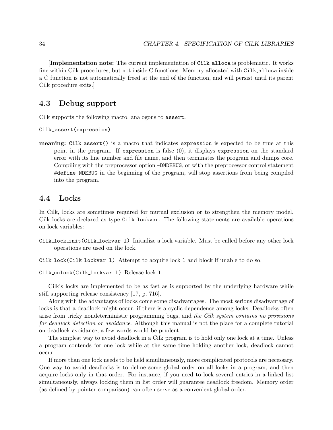[Implementation note: The current implementation of Cilk alloca is problematic. It works fine within Cilk procedures, but not inside C functions. Memory allocated with Cilk alloca inside a C function is not automatically freed at the end of the function, and will persist until its parent Cilk procedure exits.]

## 4.3 Debug support

Cilk supports the following macro, analogous to assert.

Cilk\_assert(expression)

meaning: Cilk assert() is a macro that indicates expression is expected to be true at this point in the program. If expression is false (0), it displays expression on the standard error with its line number and file name, and then terminates the program and dumps core. Compiling with the preprocessor option -DNDEBUG, or with the preprocessor control statement #define NDEBUG in the beginning of the program, will stop assertions from being compiled into the program.

### 4.4 Locks

In Cilk, locks are sometimes required for mutual exclusion or to strengthen the memory model. Cilk locks are declared as type Cilk lockvar. The following statements are available operations on lock variables:

Cilk lock init(Cilk lockvar l) Initialize a lock variable. Must be called before any other lock operations are used on the lock.

Cilk lock(Cilk lockvar l) Attempt to acquire lock l and block if unable to do so.

Cilk unlock(Cilk lockvar l) Release lock l.

Cilk's locks are implemented to be as fast as is supported by the underlying hardware while still supporting release consistency [17, p. 716].

Along with the advantages of locks come some disadvantages. The most serious disadvantage of locks is that a deadlock might occur, if there is a cyclic dependence among locks. Deadlocks often arise from tricky nondeterministic programming bugs, and the Cilk system contains no provisions for deadlock detection or avoidance. Although this manual is not the place for a complete tutorial on deadlock avoidance, a few words would be prudent.

The simplest way to avoid deadlock in a Cilk program is to hold only one lock at a time. Unless a program contends for one lock while at the same time holding another lock, deadlock cannot occur.

If more than one lock needs to be held simultaneously, more complicated protocols are necessary. One way to avoid deadlocks is to define some global order on all locks in a program, and then acquire locks only in that order. For instance, if you need to lock several entries in a linked list simultaneously, always locking them in list order will guarantee deadlock freedom. Memory order (as defined by pointer comparison) can often serve as a convenient global order.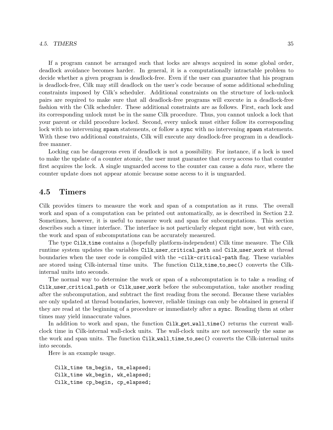If a program cannot be arranged such that locks are always acquired in some global order, deadlock avoidance becomes harder. In general, it is a computationally intractable problem to decide whether a given program is deadlock-free. Even if the user can guarantee that his program is deadlock-free, Cilk may still deadlock on the user's code because of some additional scheduling constraints imposed by Cilk's scheduler. Additional constraints on the structure of lock-unlock pairs are required to make sure that all deadlock-free programs will execute in a deadlock-free fashion with the Cilk scheduler. These additional constraints are as follows. First, each lock and its corresponding unlock must be in the same Cilk procedure. Thus, you cannot unlock a lock that your parent or child procedure locked. Second, every unlock must either follow its corresponding lock with no intervening spawn statements, or follow a sync with no intervening spawn statements. With these two additional constraints, Cilk will execute any deadlock-free program in a deadlockfree manner.

Locking can be dangerous even if deadlock is not a possibility. For instance, if a lock is used to make the update of a counter atomic, the user must guarantee that every access to that counter first acquires the lock. A single unguarded access to the counter can cause a *data race*, where the counter update does not appear atomic because some access to it is unguarded.

## 4.5 Timers

Cilk provides timers to measure the work and span of a computation as it runs. The overall work and span of a computation can be printed out automatically, as is described in Section 2.2. Sometimes, however, it is useful to measure work and span for subcomputations. This section describes such a timer interface. The interface is not particularly elegant right now, but with care, the work and span of subcomputations can be accurately measured.

The type Cilk time contains a (hopefully platform-independent) Cilk time measure. The Cilk runtime system updates the variables Cilk user critical path and Cilk user work at thread boundaries when the user code is compiled with the -cilk-critical-path flag. These variables are stored using Cilk-internal time units. The function Cilk time to sec() converts the Cilkinternal units into seconds.

The normal way to determine the work or span of a subcomputation is to take a reading of Cilk user critical path or Cilk user work before the subcomputation, take another reading after the subcomputation, and subtract the first reading from the second. Because these variables are only updated at thread boundaries, however, reliable timings can only be obtained in general if they are read at the beginning of a procedure or immediately after a sync. Reading them at other times may yield innaccurate values.

In addition to work and span, the function Cilk get wall time() returns the current wallclock time in Cilk-internal wall-clock units. The wall-clock units are not necessarily the same as the work and span units. The function Cilk wall time to sec() converts the Cilk-internal units into seconds.

Here is an example usage.

Cilk\_time tm\_begin, tm\_elapsed; Cilk\_time wk\_begin, wk\_elapsed; Cilk\_time cp\_begin, cp\_elapsed;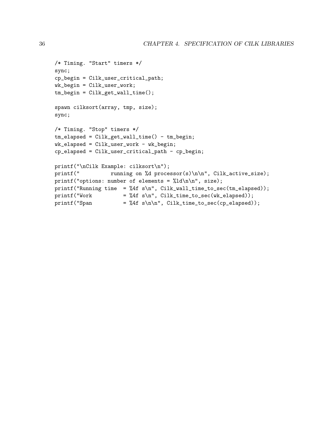```
/* Timing. "Start" timers */
sync;
cp_begin = Cilk_user_critical_path;
wk_begin = Cilk_user_work;
tm\_begin = Cilk\_get\_wall\_time();
spawn cilksort(array, tmp, size);
sync;
/* Timing. "Stop" timers */
tm_elapsed = Cilk_get_wall_time() - tm_begin;
wk-elapsed = Cilk-user_work - wk_begin;
cp_elapsed = Cilk_user_critical_path - cp_begin;
printf("\nCilk Example: cilksort\n");
printf(" running on %d processor(s)\n\n", Cilk_active_size);
printf("options: number of elements = %ld\n\n", size);
printf("Running time = \frac{4}{1} s\n", Cilk_wall_time_to_sec(tm_elapsed));
print("Work = %4f s\n", Cilk_time_to_sec(wk_elag));print("Span = %4f s\n\n\; : Cilk_time_to_sec(cp_elagsed));
```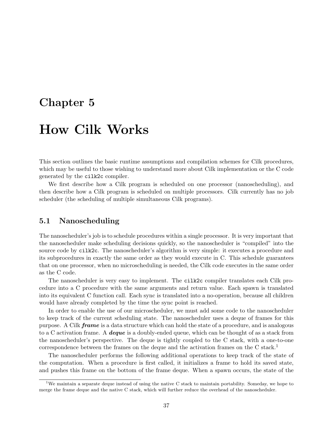## Chapter 5

## How Cilk Works

This section outlines the basic runtime assumptions and compilation schemes for Cilk procedures, which may be useful to those wishing to understand more about Cilk implementation or the C code generated by the cilk2c compiler.

We first describe how a Cilk program is scheduled on one processor (nanoscheduling), and then describe how a Cilk program is scheduled on multiple processors. Cilk currently has no job scheduler (the scheduling of multiple simultaneous Cilk programs).

## 5.1 Nanoscheduling

The nanoscheduler's job is to schedule procedures within a single processor. It is very important that the nanoscheduler make scheduling decisions quickly, so the nanoscheduler is "compiled" into the source code by cilk2c. The nanoscheduler's algorithm is very simple: it executes a procedure and its subprocedures in exactly the same order as they would execute in C. This schedule guarantees that on one processor, when no microscheduling is needed, the Cilk code executes in the same order as the C code.

The nanoscheduler is very easy to implement. The cilk2c compiler translates each Cilk procedure into a C procedure with the same arguments and return value. Each spawn is translated into its equivalent C function call. Each sync is translated into a no-operation, because all children would have already completed by the time the sync point is reached.

In order to enable the use of our microscheduler, we must add some code to the nanoscheduler to keep track of the current scheduling state. The nanoscheduler uses a deque of frames for this purpose. A Cilk *frame* is a data structure which can hold the state of a procedure, and is analogous to a C activation frame. A **deque** is a doubly-ended queue, which can be thought of as a stack from the nanoscheduler's perspective. The deque is tightly coupled to the C stack, with a one-to-one correspondence between the frames on the deque and the activation frames on the C stack.<sup>1</sup>

The nanoscheduler performs the following additional operations to keep track of the state of the computation. When a procedure is first called, it initializes a frame to hold its saved state, and pushes this frame on the bottom of the frame deque. When a spawn occurs, the state of the

<sup>1</sup>We maintain a separate deque instead of using the native C stack to maintain portability. Someday, we hope to merge the frame deque and the native C stack, which will further reduce the overhead of the nanoscheduler.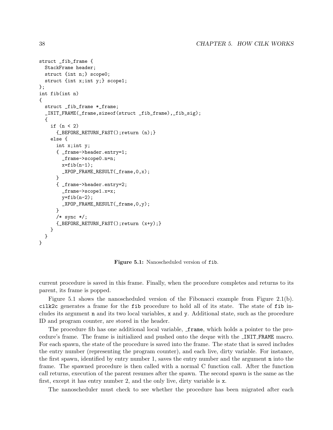```
struct _fib_frame {
  StackFrame header;
  struct {int n;} scope0;
  struct {int x;int y;} scope1;
};
int fib(int n)
{
  struct _fib_frame *_frame;
  _INIT_FRAME(_frame,sizeof(struct _fib_frame),_fib_sig);
  {
    if (n < 2){_BEFORE_RETURN_FAST();return (n);}
    else {
      int x;int y;
      { _frame->header.entry=1;
        _frame->scope0.n=n;
        x=fib(n-1);
        _XPOP_FRAME_RESULT( frac{0, x)};
      }
      { _frame->header.entry=2;
        _frame->scope1.x=x;
        y=fib(n-2);_XPOP_FRAME_RESULT(_frame,0,y);
      }
      /* sync */;
      {_BEFORE_RETURN_FAST();return (x+y);}
    }
 }
}
```
Figure 5.1: Nanoscheduled version of fib.

current procedure is saved in this frame. Finally, when the procedure completes and returns to its parent, its frame is popped.

Figure 5.1 shows the nanoscheduled version of the Fibonacci example from Figure 2.1(b). cilk2c generates a frame for the fib procedure to hold all of its state. The state of fib includes its argument n and its two local variables, x and y. Additional state, such as the procedure ID and program counter, are stored in the header.

The procedure fib has one additional local variable, **frame**, which holds a pointer to the procedure's frame. The frame is initialized and pushed onto the deque with the INIT FRAME macro. For each spawn, the state of the procedure is saved into the frame. The state that is saved includes the entry number (representing the program counter), and each live, dirty variable. For instance, the first spawn, identified by entry number 1, saves the entry number and the argument n into the frame. The spawned procedure is then called with a normal C function call. After the function call returns, execution of the parent resumes after the spawn. The second spawn is the same as the first, except it has entry number 2, and the only live, dirty variable is x.

The nanoscheduler must check to see whether the procedure has been migrated after each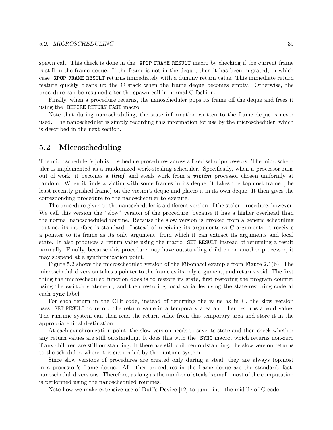#### 5.2. MICROSCHEDULING 39

spawn call. This check is done in the XPOP FRAME RESULT macro by checking if the current frame is still in the frame deque. If the frame is not in the deque, then it has been migrated, in which case XPOP FRAME RESULT returns immediately with a dummy return value. This immediate return feature quickly cleans up the C stack when the frame deque becomes empty. Otherwise, the procedure can be resumed after the spawn call in normal C fashion.

Finally, when a procedure returns, the nanoscheduler pops its frame off the deque and frees it using the BEFORE RETURN FAST macro.

Note that during nanoscheduling, the state information written to the frame deque is never used. The nanoscheduler is simply recording this information for use by the microscheduler, which is described in the next section.

## 5.2 Microscheduling

The microscheduler's job is to schedule procedures across a fixed set of processors. The microscheduler is implemented as a randomized work-stealing scheduler. Specifically, when a processor runs out of work, it becomes a **thief** and steals work from a **victim** processor chosen uniformly at random. When it finds a victim with some frames in its deque, it takes the topmost frame (the least recently pushed frame) on the victim's deque and places it in its own deque. It then gives the corresponding procedure to the nanoscheduler to execute.

The procedure given to the nanoscheduler is a different version of the stolen procedure, however. We call this version the "slow" version of the procedure, because it has a higher overhead than the normal nanoscheduled routine. Because the slow version is invoked from a generic scheduling routine, its interface is standard. Instead of receiving its arguments as C arguments, it receives a pointer to its frame as its only argument, from which it can extract its arguments and local state. It also produces a return value using the macro SET RESULT instead of returning a result normally. Finally, because this procedure may have outstanding children on another processor, it may suspend at a synchronization point.

Figure 5.2 shows the microscheduled version of the Fibonacci example from Figure 2.1(b). The microscheduled version takes a pointer to the frame as its only argument, and returns void. The first thing the microscheduled function does is to restore its state, first restoring the program counter using the switch statement, and then restoring local variables using the state-restoring code at each sync label.

For each return in the Cilk code, instead of returning the value as in C, the slow version uses SET RESULT to record the return value in a temporary area and then returns a void value. The runtime system can then read the return value from this temporary area and store it in the appropriate final destination.

At each synchronization point, the slow version needs to save its state and then check whether any return values are still outstanding. It does this with the SYNC macro, which returns non-zero if any children are still outstanding. If there are still children outstanding, the slow version returns to the scheduler, where it is suspended by the runtime system.

Since slow versions of procedures are created only during a steal, they are always topmost in a processor's frame deque. All other procedures in the frame deque are the standard, fast, nanoscheduled versions. Therefore, as long as the number of steals is small, most of the computation is performed using the nanoscheduled routines.

Note how we make extensive use of Duff's Device [12] to jump into the middle of C code.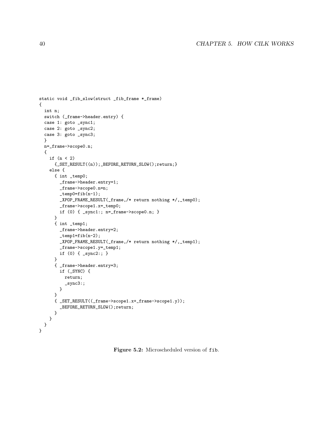```
static void _fib_slow(struct _fib_frame *_frame)
{
 int n;
 switch (_frame->header.entry) {
 case 1: goto _sync1;
 case 2: goto _sync2;
  case 3: goto _sync3;
  }
 n=_frame->scope0.n;
  {
    if (n < 2)
     {_SET_RESULT((n));_BEFORE_RETURN_SLOW();return;}
    else {
      { int _temp0;
        _frame->header.entry=1;
        _frame->scope0.n=n;
        _temp0=fib(n-1);
        _XPOP_FRAME_RESULT(_frame,/* return nothing */,_temp0);
        _frame->scope1.x=_temp0;
       if (0) { _sync1:; n=_frame->scope0.n; }
      }
      { int _temp1;
       _frame->header.entry=2;
       _ttemp1=fib(n-2);
        _XPOP_FRAME_RESULT(_frame,/* return nothing */,_temp1);
        _frame->scope1.y=_temp1;
       if (0) { _sync2:; }
      }
      { _frame->header.entry=3;
       if (_SYNC) {
          return;
          _sync3:;
        }
      }
      { _SET_RESULT((_frame->scope1.x+_frame->scope1.y));
        _BEFORE_RETURN_SLOW();return;
      }
    }
 }
}
```
Figure 5.2: Microscheduled version of fib.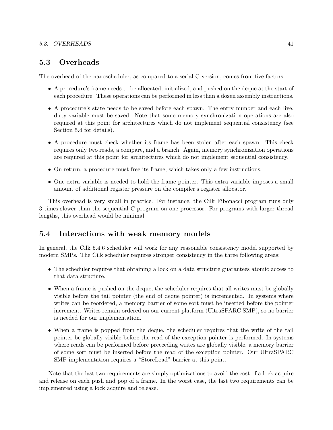#### 5.3. OVERHEADS 41

## 5.3 Overheads

The overhead of the nanoscheduler, as compared to a serial C version, comes from five factors:

- A procedure's frame needs to be allocated, initialized, and pushed on the deque at the start of each procedure. These operations can be performed in less than a dozen assembly instructions.
- A procedure's state needs to be saved before each spawn. The entry number and each live, dirty variable must be saved. Note that some memory synchronization operations are also required at this point for architectures which do not implement sequential consistency (see Section 5.4 for details).
- A procedure must check whether its frame has been stolen after each spawn. This check requires only two reads, a compare, and a branch. Again, memory synchronization operations are required at this point for architectures which do not implement sequential consistency.
- On return, a procedure must free its frame, which takes only a few instructions.
- One extra variable is needed to hold the frame pointer. This extra variable imposes a small amount of additional register pressure on the compiler's register allocator.

This overhead is very small in practice. For instance, the Cilk Fibonacci program runs only 3 times slower than the sequential C program on one processor. For programs with larger thread lengths, this overhead would be minimal.

## 5.4 Interactions with weak memory models

In general, the Cilk 5.4.6 scheduler will work for any reasonable consistency model supported by modern SMPs. The Cilk scheduler requires stronger consistency in the three following areas:

- The scheduler requires that obtaining a lock on a data structure guarantees atomic access to that data structure.
- When a frame is pushed on the deque, the scheduler requires that all writes must be globally visible before the tail pointer (the end of deque pointer) is incremented. In systems where writes can be reordered, a memory barrier of some sort must be inserted before the pointer increment. Writes remain ordered on our current platform (UltraSPARC SMP), so no barrier is needed for our implementation.
- When a frame is popped from the deque, the scheduler requires that the write of the tail pointer be globally visible before the read of the exception pointer is performed. In systems where reads can be performed before preceeding writes are globally visible, a memory barrier of some sort must be inserted before the read of the exception pointer. Our UltraSPARC SMP implementation requires a "StoreLoad" barrier at this point.

Note that the last two requirements are simply optimizations to avoid the cost of a lock acquire and release on each push and pop of a frame. In the worst case, the last two requirements can be implemented using a lock acquire and release.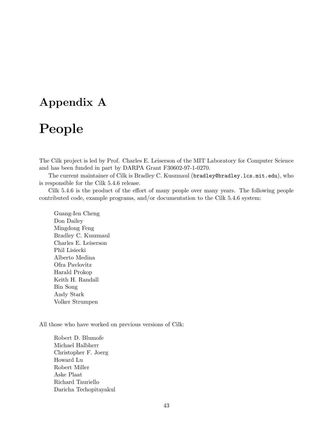## Appendix A

# People

The Cilk project is led by Prof. Charles E. Leiserson of the MIT Laboratory for Computer Science and has been funded in part by DARPA Grant F30602-97-1-0270.

The current maintainer of Cilk is Bradley C. Kuszmaul (bradley@bradley.lcs.mit.edu), who is responsible for the Cilk 5.4.6 release.

Cilk 5.4.6 is the product of the effort of many people over many years. The following people contributed code, example programs, and/or documentation to the Cilk 5.4.6 system:

Guang-Ien Cheng Don Dailey Mingdong Feng Bradley C. Kuszmaul Charles E. Leiserson Phil Lisiecki Alberto Medina Ofra Pavlovitz Harald Prokop Keith H. Randall Bin Song Andy Stark Volker Strumpen

All those who have worked on previous versions of Cilk:

Robert D. Blumofe Michael Halbherr Christopher F. Joerg Howard Lu Robert Miller Aske Plaat Richard Tauriello Daricha Techopitayakul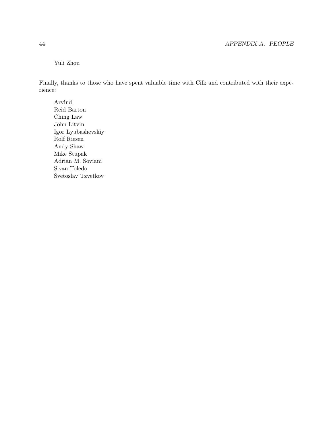## Yuli Zhou

Finally, thanks to those who have spent valuable time with Cilk and contributed with their experience:

Arvind Reid Barton Ching Law John Litvin Igor Lyubashevskiy Rolf Riesen Andy Shaw Mike Stupak Adrian M. Soviani Sivan Toledo Svetoslav Tzvetkov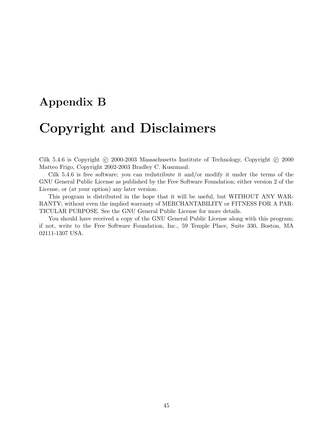## Appendix B

# Copyright and Disclaimers

Cilk 5.4.6 is Copyright © 2000-2003 Massachusetts Institute of Technology, Copyright © 2000 Matteo Frigo, Copyright 2002-2003 Bradley C. Kuszmaul.

Cilk 5.4.6 is free software; you can redistribute it and/or modify it under the terms of the GNU General Public License as published by the Free Software Foundation; either version 2 of the License, or (at your option) any later version.

This program is distributed in the hope that it will be useful, but WITHOUT ANY WAR-RANTY; without even the implied warranty of MERCHANTABILITY or FITNESS FOR A PAR-TICULAR PURPOSE. See the GNU General Public License for more details.

You should have received a copy of the GNU General Public License along with this program; if not, write to the Free Software Foundation, Inc., 59 Temple Place, Suite 330, Boston, MA 02111-1307 USA.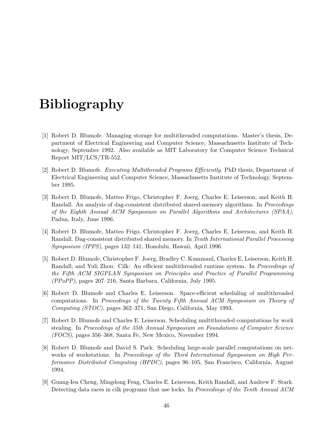# Bibliography

- [1] Robert D. Blumofe. Managing storage for multithreaded computations. Master's thesis, Department of Electrical Engineering and Computer Science, Massachusetts Institute of Technology, September 1992. Also available as MIT Laboratory for Computer Science Technical Report MIT/LCS/TR-552.
- [2] Robert D. Blumofe. Executing Multithreaded Programs Efficiently. PhD thesis, Department of Electrical Engineering and Computer Science, Massachusetts Institute of Technology, September 1995.
- [3] Robert D. Blumofe, Matteo Frigo, Christopher F. Joerg, Charles E. Leiserson, and Keith H. Randall. An analysis of dag-consistent distributed shared-memory algorithms. In *Proceedings* of the Eighth Annual ACM Symposium on Parallel Algorithms and Architectures (SPAA), Padua, Italy, June 1996.
- [4] Robert D. Blumofe, Matteo Frigo, Christopher F. Joerg, Charles E. Leiserson, and Keith H. Randall. Dag-consistent distributed shared memory. In Tenth International Parallel Processing Symposium (IPPS), pages 132–141, Honolulu, Hawaii, April 1996.
- [5] Robert D. Blumofe, Christopher F. Joerg, Bradley C. Kuszmaul, Charles E. Leiserson, Keith H. Randall, and Yuli Zhou. Cilk: An efficient multithreaded runtime system. In Proceedings of the Fifth ACM SIGPLAN Symposium on Principles and Practice of Parallel Programming (PPoPP), pages 207–216, Santa Barbara, California, July 1995.
- [6] Robert D. Blumofe and Charles E. Leiserson. Space-efficient scheduling of multithreaded computations. In Proceedings of the Twenty Fifth Annual ACM Symposium on Theory of Computing (STOC), pages 362–371, San Diego, California, May 1993.
- [7] Robert D. Blumofe and Charles E. Leiserson. Scheduling multithreaded computations by work stealing. In Proceedings of the 35th Annual Symposium on Foundations of Computer Science (FOCS), pages 356–368, Santa Fe, New Mexico, November 1994.
- [8] Robert D. Blumofe and David S. Park. Scheduling large-scale parallel computations on networks of workstations. In Proceedings of the Third International Symposium on High Performance Distributed Computing (HPDC), pages 96–105, San Francisco, California, August 1994.
- [9] Guang-Ien Cheng, Mingdong Feng, Charles E. Leiserson, Keith Randall, and Andrew F. Stark. Detecting data races in cilk programs that use locks. In *Proceedings of the Tenth Annual ACM*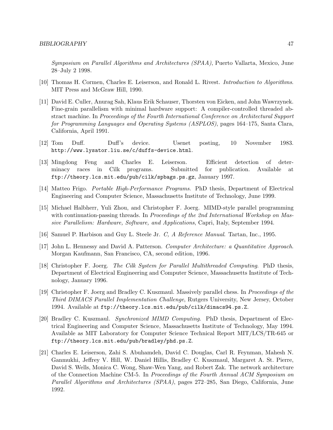Symposium on Parallel Algorithms and Architectures (SPAA), Puerto Vallarta, Mexico, June 28–July 2 1998.

- [10] Thomas H. Cormen, Charles E. Leiserson, and Ronald L. Rivest. Introduction to Algorithms. MIT Press and McGraw Hill, 1990.
- [11] David E. Culler, Anurag Sah, Klaus Erik Schauser, Thorsten von Eicken, and John Wawrzynek. Fine-grain parallelism with minimal hardware support: A compiler-controlled threaded abstract machine. In Proceedings of the Fourth International Conference on Architectural Support for Programming Languages and Operating Systems (ASPLOS), pages 164–175, Santa Clara, California, April 1991.
- [12] Tom Duff. Duff's device. Usenet posting, 10 November 1983. http://www.lysator.liu.se/c/duffs-device.html.
- [13] Mingdong Feng and Charles E. Leiserson. Efficient detection of determinacy races in Cilk programs. Submitted for publication. Available at ftp://theory.lcs.mit.edu/pub/cilk/spbags.ps.gz, January 1997.
- [14] Matteo Frigo. Portable High-Performance Programs. PhD thesis, Department of Electrical Engineering and Computer Science, Massachusetts Institute of Technology, June 1999.
- [15] Michael Halbherr, Yuli Zhou, and Christopher F. Joerg. MIMD-style parallel programming with continuation-passing threads. In *Proceedings of the 2nd International Workshop on Mas*sive Parallelism: Hardware, Software, and Applications, Capri, Italy, September 1994.
- [16] Samuel P. Harbison and Guy L. Steele Jr. C, A Reference Manual. Tartan, Inc., 1995.
- [17] John L. Hennessy and David A. Patterson. Computer Architecture: a Quantitative Approach. Morgan Kaufmann, San Francisco, CA, second edition, 1996.
- [18] Christopher F. Joerg. The Cilk System for Parallel Multithreaded Computing. PhD thesis, Department of Electrical Engineering and Computer Science, Massachusetts Institute of Technology, January 1996.
- [19] Christopher F. Joerg and Bradley C. Kuszmaul. Massively parallel chess. In Proceedings of the Third DIMACS Parallel Implementation Challenge, Rutgers University, New Jersey, October 1994. Available at ftp://theory.lcs.mit.edu/pub/cilk/dimacs94.ps.Z.
- [20] Bradley C. Kuszmaul. Synchronized MIMD Computing. PhD thesis, Department of Electrical Engineering and Computer Science, Massachusetts Institute of Technology, May 1994. Available as MIT Laboratory for Computer Science Technical Report MIT/LCS/TR-645 or ftp://theory.lcs.mit.edu/pub/bradley/phd.ps.Z.
- [21] Charles E. Leiserson, Zahi S. Abuhamdeh, David C. Douglas, Carl R. Feynman, Mahesh N. Ganmukhi, Jeffrey V. Hill, W. Daniel Hillis, Bradley C. Kuszmaul, Margaret A. St. Pierre, David S. Wells, Monica C. Wong, Shaw-Wen Yang, and Robert Zak. The network architecture of the Connection Machine CM-5. In Proceedings of the Fourth Annual ACM Symposium on Parallel Algorithms and Architectures (SPAA), pages 272–285, San Diego, California, June 1992.